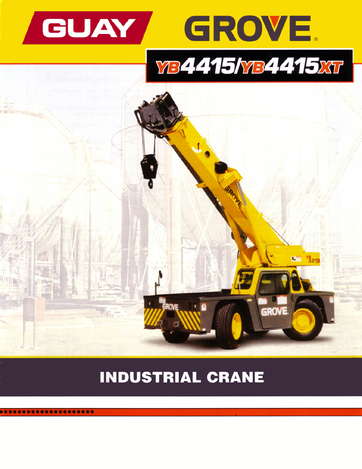







# **INDUSTRIAL CRANE**

............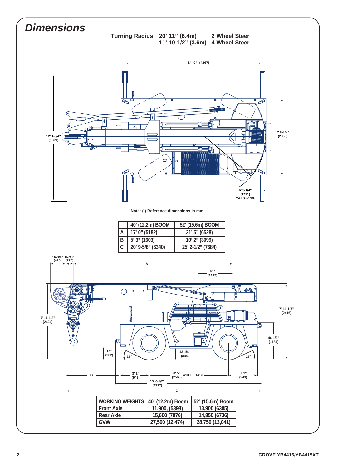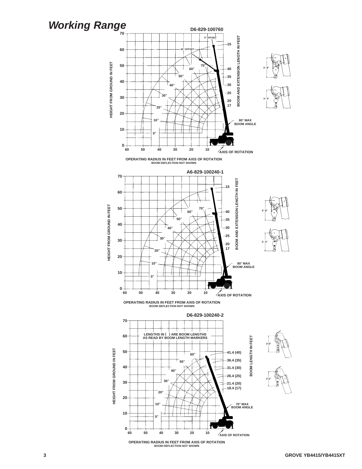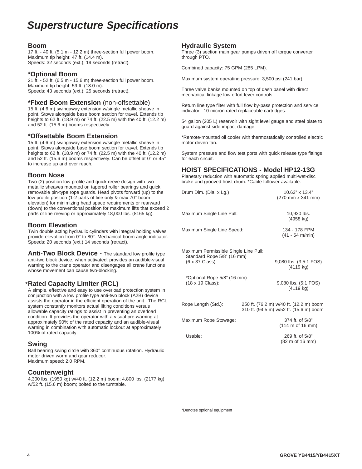## **Superstructure Specifications**

### **Boom**

17 ft. - 40 ft. (5.1 m - 12.2 m) three-section full power boom. Maximum tip height: 47 ft. (14.4 m). Speeds: 32 seconds (ext.); 19 seconds (retract).

### **\*Optional Boom**

21 ft. - 52 ft. (6.5 m - 15.6 m) three-section full power boom. Maximum tip height: 59 ft. (18.0 m). Speeds: 43 seconds (ext.); 25 seconds (retract).

### **\*Fixed Boom Extension** (non-offsettable)

15 ft. (4.6 m) swingaway extension w/single metallic sheave in point. Stows alongside base boom section for travel. Extends tip heights to 62 ft. (18.9 m) or 74 ft. (22.5 m) with the 40 ft. (12.2 m) and 52 ft. (15.6 m) booms respectively.

### **\*Offsettable Boom Extension**

15 ft. (4.6 m) swingaway extension w/single metallic sheave in point. Stows alongside base boom section for travel. Extends tip heights to 62 ft. (18.9 m) or 74 ft. (22.5 m) with the 40 ft. (12.2 m) and 52 ft. (15.6 m) booms respectively. Can be offset at 0° or 45° to increase up and over reach.

### **Boom Nose**

Two (2) position low profile and quick reeve design with two metallic sheaves mounted on tapered roller bearings and quick removable pin-type rope guards. Head pivots forward (up) to the low profile position (1-2 parts of line only & max 70° boom elevation) for minimizing head space requirements or rearward (down) to the conventional position for maximum lifts that exceed 2 parts of line reeving or approximately 18,000 lbs. (8165 kg).

### **Boom Elevation**

Twin double acting hydraulic cylinders with integral holding valves provide elevation from 0° to 80°. Mechanical boom angle indicator. Speeds: 20 seconds (ext.) 14 seconds (retract).

**Anti-Two Block Device -** The standard low profile type anti-two block device, when activated, provides an audible-visual warning to the crane operator and disengages all crane functions whose movement can cause two-blocking.

### **Rated Capacity Limiter (RCL)** \*

A simple, effective and easy to use overload protection system in conjunction with a low profile type anti-two block (A2B) device assists the operator in the efficient operation of the unit. The RCL system constantly monitors actual lifting conditions versus allowable capacity ratings to assist in preventing an overload condition. It provides the operator with a visual pre-warning at approximately 90% of the rated capacity and an audible-visual warning in combination with automatic lockout at approximately 100% of rated capacity.

### **Swing**

Ball bearing swing circle with 360° continuous rotation. Hydraulic motor driven worm and gear reducer. Maximum speed: 2.0 RPM.

### **Counterweight**

4,300 lbs. (1950 kg) w/40 ft. (12.2 m) boom; 4,800 lbs. (2177 kg) w/52 ft. (15.6 m) boom; bolted to the turntable.

### **Hydraulic System**

Three (3) section main gear pumps driven off torque converter through PTO.

Combined capacity: 75 GPM (285 LPM).

Maximum system operating pressure: 3,500 psi (241 bar).

Three valve banks mounted on top of dash panel with direct mechanical linkage low effort lever controls.

Return line type filter with full flow by-pass protection and service indicator. 10 micron rated replaceable cartridges.

54 gallon (205 L) reservoir with sight level gauge and steel plate to guard against side impact damage.

\*Remote-mounted oil cooler with thermostatically controlled electric motor driven fan.

System pressure and flow test ports with quick release type fittings for each circuit.

### **HOIST SPECIFICATIONS - Model HP12-13G**

Planetary reduction with automatic spring applied multi-wet-disc brake and grooved hoist drum. \*Cable follower available.

| Drum Dim. (Dia. x Lg.)                                                                 | 10.63" x 13.4"<br>(270 mm x 341 mm)                                                |
|----------------------------------------------------------------------------------------|------------------------------------------------------------------------------------|
| Maximum Single Line Pull:                                                              | 10,930 lbs.<br>$(4958 \text{ kg})$                                                 |
| Maximum Single Line Speed:                                                             | 134 - 178 FPM<br>$(41 - 54$ m/min)                                                 |
| Maximum Permissible Single Line Pull:<br>Standard Rope 5/8" (16 mm)<br>(6 x 37 Class): | 9,080 lbs. (3.5:1 FOS)<br>$(4119 \text{ kg})$                                      |
| *Optional Rope 5/8" (16 mm)<br>(18 x 19 Class):                                        | 9,080 lbs. (5:1 FOS)<br>$(4119 \text{ kg})$                                        |
| Rope Length (Std.):                                                                    | 250 ft. (76.2 m) w/40 ft. (12.2 m) boom<br>310 ft. (94.5 m) w/52 ft. (15.6 m) boom |
| Maximum Rope Stowage:                                                                  | 374 ft. of 5/8"<br>(114 m of 16 mm)                                                |
| Usable:                                                                                | 269 ft. of 5/8"<br>(82 m of 16 mm)                                                 |
|                                                                                        |                                                                                    |

\*Denotes optional equipment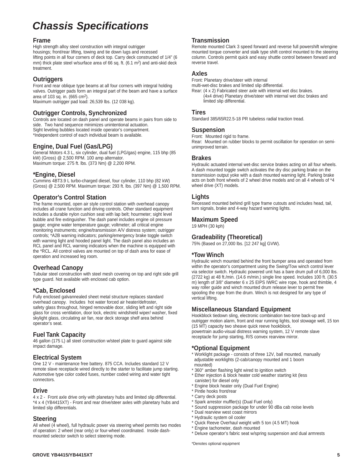# **Chassis Specifications**

### **Frame**

High strength alloy steel construction with integral outrigger housings; front/rear lifting, towing and tie down lugs and recessed lifting points in all four corners of deck top. Carry deck constructed of 1/4" (6 mm) thick plate steel w/surface area of 66 sq. ft. (6.1 m2) and anti-skid deck treatment.

### **Outriggers**

Front and rear oblique type beams at all four corners with integral holding valves. Outrigger pads form an integral part of the beam and have a surface area of 103 sq. in. (665 cm2). Maximum outrigger pad load: 26,539 lbs. (12 038 kg).

### **Outrigger Controls, Synchronized**

Controls are located on dash panel and operate beams in pairs from side to side. Two hand sequence minimizes unintentional actuation. Sight leveling bubbles located inside operator's compartment. \*Independent control of each individual beam is available.

### **Engine, Dual Fuel (Gas/LPG)**

General Motors 4.3 L, six cylinder, dual fuel (LPG/gas) engine, 115 bhp (85 kW) (Gross) @ 2,500 RPM. 100 amp alternator. Maximum torque: 275 ft. lbs. (373 Nm) @ 2,200 RPM.

### **\*Engine, Diesel**

Cummins 4BT3.9 L turbo-charged diesel, four cylinder, 110 bhp (82 kW) (Gross) @ 2,500 RPM. Maximum torque: 293 ft. lbs. (397 Nm) @ 1,500 RPM.

### **Operator's Control Station**

The frame mounted, open air style control station with overhead canopy includes all crane function and driving controls. Other standard equipment includes a durable nylon cushion seat with lap belt; hourmeter; sight level bubble and fire extinguisher. The dash panel includes engine oil pressure gauge; engine water temperature gauge; voltmeter; all critical engine monitoring instruments; engine/transmission A/V distress system; outrigger controls; \*A2B warning indicators; parking/emergency brake toggle switch with warning light and hooded panel light. The dash panel also includes an RCL panel and RCL warning indicators when the machine is equipped with the \*RCL. All control valves are mounted on top of dash area for ease of operation and increased leg room.

### **Overhead Canopy**

Tubular steel construction with steel mesh covering on top and right side grill type guard. Not available with enclosed cab option.

### **\*Cab, Enclosed**

Fully enclosed galvannealed sheet metal structure replaces standard overhead canopy. Includes hot water forced air heater/defroster, safety glass throughout, hinged removable door, sliding left and right side glass for cross ventilation, door lock, electric windshield wiper/ washer, fixed skylight glass, circulating air fan, rear deck storage shelf area behind operator's seat.

### **Fuel Tank Capacity**

46 gallon (175 L) all steel construction w/steel plate to guard against side impact damage.

### **Electrical System**

One 12 V - maintenance free battery. 875 CCA. Includes standard 12 V remote slave receptacle wired directly to the starter to facilitate jump starting. Automotive type color coded fuses, number coded wiring and water tight connectors.

### **Drive**

4 x 2 - Front axle drive only with planetary hubs and limited slip differential. \*4 x 4 (YB4415XT) - Front and rear drive/steer axles with planetary hubs and limited slip differentials.

### **Steering**

All wheel (4 wheel), full hydraulic power via steering wheel permits two modes of operation: 2 wheel (rear only) or four-wheel coordinated. Inside dashmounted selector switch to select steering mode.

### **Transmission**

Remote mounted Clark 3 speed forward and reverse full powershift w/engine mounted torque converter and stalk type shift control mounted to the steering column. Controls permit quick and easy shuttle control between forward and reverse travel.

### **Axles**

Front: Planetary drive/steer with internal multi-wet-disc brakes and limited slip differential. Rear: (4 x 2) Fabricated steer axle with internal wet disc brakes. (4x4 drive) Planetary drive/steer with internal wet disc brakes and limited slip differential.

### **Tires**

Standard 385/65R22.5-18 PR tubeless radial traction tread.

### **Suspension**

Front: Mounted rigid to frame.

Rear: Mounted on rubber blocks to permit oscillation for operation on semiunimproved terrain.

### **Brakes**

Hydraulic actuated internal wet-disc service brakes acting on all four wheels. A dash mounted toggle switch activates the dry disc parking brake on the transmission output yoke with a dash mounted warning light. Parking brake acts on both front wheels of 2 wheel drive models and on all 4 wheels of \*4 wheel drive (XT) models.

### **Lights**

Recessed mounted behind grill type frame cutouts and includes head, tail, turn signals, brake and 4-way hazard warning lights.

### **Maximum Speed**

19 MPH (30 kph)

### **Gradeability (Theoretical)**

75% (Based on 27,000 lbs. [12 247 kg] GVW).

### **\*Tow Winch**

Hydraulic winch mounted behind the front bumper area and operated from within the operator's compartment using the Swing/Tow winch control lever via selector switch. Hydraulic powered unit has a bare drum pull of 6,000 lbs. (2722 kg) at 48 ft./min. (14.6 m/min.) single line speed. Includes 100 ft. (30.5 m) length of 3/8" diameter 6 x 25 EIPS IWRC wire rope, hook and thimble, 4 way roller guide and winch mounted drum release lever to permit free spooling the rope from the drum. Winch is not designed for any type of vertical lifting.

### **Miscellaneous Standard Equipment**

Hookblock tiedown sling, electronic combination two-tone back-up and outrigger motion alarm, front and rear running lights, tool stowage well, 15 ton (15 MT) capacity two sheave quick reeve hookblock, powertrain audio-visual distress warning system, 12 V remote slave receptacle for jump starting, R/S convex rearview mirror.

### **\*Optional Equipment**

\* Worklight package - consists of three 12V, ball mounted, manually adjustable worklights (2-cab/canopy mounted and 1 boom mounted)

- \* 360° amber flashing light wired to ignition switch
- \* Ether injection & block heater cold weather starting kit (less canister) for diesel only
- \* Engine block heater only (Dual Fuel Engine)
- <sup>\*</sup> Pintle hooks front/rear
- Carry deck posts
- \* Spark arrestor muffler(s) (Dual Fuel only)
- Sound suppression package for under 90 dBa cab noise levels
- \* Dual rearview west coast mirrors
- \* Hydraulic system oil cooler
- \* Quick Reeve Overhaul weight with 5 ton (4.5 MT) hook
- Engine tachometer, dash mounted \* Deluxe operator's fabric seat w/spring suspension and dual armrests

\*Denotes optional equipment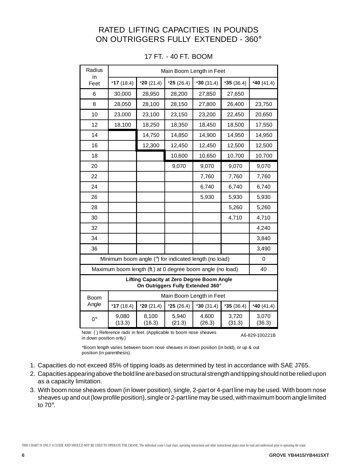### RATED LIFTING CAPACITIES IN POUNDS ON OUTRIGGERS FULLY EXTENDED - 360°

| Radius<br>in |                                                            |                 | Main Boom Length in Feet                                                        |                 |                 |                 |
|--------------|------------------------------------------------------------|-----------------|---------------------------------------------------------------------------------|-----------------|-----------------|-----------------|
| Feet         | $*17(18.4)$                                                | $*20(21.4)$     | $*25(26.4)$                                                                     | $*30(31.4)$     | $*35(36.4)$     | *40 $(41.4)$    |
| 6            | 30,000                                                     | 28,950          | 28,200                                                                          | 27,850          | 27,650          |                 |
| 8            | 28,050                                                     | 28,100          | 28,150                                                                          | 27,800          | 26,400          | 23,750          |
| 10           | 23,000                                                     | 23,100          | 23,150                                                                          | 23,200          | 22,450          | 20,650          |
| 12           | 18,100                                                     | 18,250          | 18,350                                                                          | 18,450          | 18,500          | 17,550          |
| 14           |                                                            | 14,750          | 14,850                                                                          | 14,900          | 14,950          | 14,950          |
| 16           |                                                            | 12,300          | 12,450                                                                          | 12,450          | 12,500          | 12,500          |
| 18           |                                                            |                 | 10,600                                                                          | 10,650          | 10,700          | 10,700          |
| 20           |                                                            |                 | 9,070                                                                           | 9,070           | 9,070           | 9,070           |
| 22           |                                                            |                 |                                                                                 | 7,760           | 7,760           | 7,760           |
| 24           |                                                            |                 |                                                                                 | 6,740           | 6,740           | 6,740           |
| 26           |                                                            |                 |                                                                                 | 5,930           | 5,930           | 5,930           |
| 28           |                                                            |                 |                                                                                 |                 | 5,260           | 5,260           |
| 30           |                                                            |                 |                                                                                 |                 | 4,710           | 4,710           |
| 32           |                                                            |                 |                                                                                 |                 |                 | 4,240           |
| 34           |                                                            |                 |                                                                                 |                 |                 | 3,840           |
| 36           |                                                            |                 |                                                                                 |                 |                 | 3,490           |
|              | Minimum boom angle (°) for indicated length (no load)      |                 |                                                                                 |                 |                 | 0               |
|              | Maximum boom length (ft.) at 0 degree boom angle (no load) |                 |                                                                                 |                 |                 | 40              |
|              |                                                            |                 | Lifting Capacity at Zero Degree Boom Angle<br>On Outriggers Fully Extended 360° |                 |                 |                 |
| Boom         |                                                            |                 | Main Boom Length in Feet                                                        |                 |                 |                 |
| Angle        | $*17(18.4)$                                                | $*20(21.4)$     | $*25(26.4)$                                                                     | $*30(31.4)$     | $*35(36.4)$     | $*40(41.4)$     |
| $0^{\circ}$  | 9,080<br>(13.3)                                            | 8,100<br>(16.3) | 5,940<br>(21.3)                                                                 | 4,600<br>(26.3) | 3,720<br>(31.3) | 3,070<br>(36.3) |

|  |  |  |  |  |  | 17 FT. - 40 FT. BOOM |
|--|--|--|--|--|--|----------------------|
|--|--|--|--|--|--|----------------------|

Note: ( ) Reference radii in feet. (Applicable to boom nose sheaves in down position only.) A6-829-100221B

\*Boom length varies between boom nose sheaves in down position (in bold), or up & out position (in parenthesis).

- 1. Capacities do not exceed 85% of tipping loads as determined by test in accordance with SAE J765.
- 2. Capacities appearing above the bold line are based on structural strength and tipping should not be relied upon as a capacity limitation.
- 3. With boom nose sheaves down (in lower position), single, 2-part or 4-part line may be used. With boom nose sheaves up and out (low profile position), single or 2-part line may be used, with maximum boom angle limited to 70°.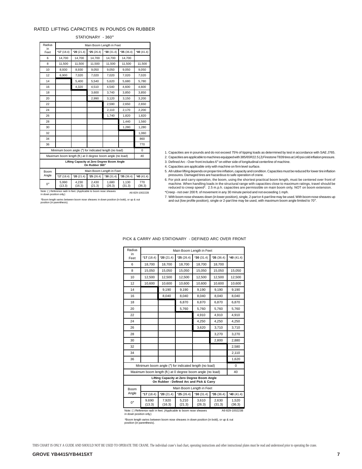#### RATED LIFTING CAPACITIES IN POUNDS ON RUBBER

STATIONARY - 360°

| Radius<br>in | Main Boom Length in Feet                                   |                                            |                 |                          |                 |               |
|--------------|------------------------------------------------------------|--------------------------------------------|-----------------|--------------------------|-----------------|---------------|
| Feet         | $*17(18.4)$                                                | $*20(21.4)$                                | $*25(26.4)$     | $*30(31.4)$              | $*35(36.4)$     | *40 $(41.4)$  |
| 6            | 14.700                                                     | 14.700                                     | 14.700          | 14.700                   | 14.700          |               |
| 8            | 11,500                                                     | 11,500                                     | 11,500          | 11,500                   | 11,500          | 11,500        |
| 10           | 8,930                                                      | 8,930                                      | 9.050           | 9,050                    | 9.050           | 9.050         |
| 12           | 6,900                                                      | 7,020                                      | 7,020           | 7,020                    | 7,020           | 7,020         |
| 14           |                                                            | 5.400                                      | 5.540           | 5.620                    | 5.680           | 5.780         |
| 16           |                                                            | 4,320                                      | 4,510           | 4.540                    | 4,600           | 4.600         |
| 18           |                                                            |                                            | 3,600           | 3,740                    | 3,850           | 3,850         |
| 20           |                                                            |                                            | 2,990           | 3,120                    | 3,150           | 3,200         |
| 22           |                                                            |                                            |                 | 2,590                    | 2,650           | 2,650         |
| 24           |                                                            |                                            |                 | 2,110                    | 2.170           | 2,200         |
| 26           |                                                            |                                            |                 | 1,740                    | 1,820           | 1,820         |
| 28           |                                                            |                                            |                 |                          | 1.440           | 1.560         |
| 30           |                                                            |                                            |                 |                          | 1,280           | 1,280         |
| 32           |                                                            |                                            |                 |                          |                 | 1,060         |
| 34           |                                                            |                                            |                 |                          |                 | 860           |
| 36           |                                                            |                                            |                 |                          |                 | 770           |
|              | Minimum boom angle (°) for indicated length (no load)      |                                            |                 |                          |                 | 0             |
|              | Maximum boom length (ft.) at 0 degree boom angle (no load) |                                            |                 |                          |                 | 40            |
|              |                                                            | Lifting Capacity at Zero Degree Boom Angle | On Rubber 360°  |                          |                 |               |
| Boom         |                                                            |                                            |                 | Main Boom Length in Feet |                 |               |
| Angle        | $*17(18.4)$                                                | $*20(21.4)$                                | $*25(26.4)$     | $*30(31.4)$              | $*35(36.4)$     | *40 $(41.4)$  |
| <b>0°</b>    | 5,990<br>(13.3)                                            | 4,230<br>(16.3)                            | 2,430<br>(21.3) | 1,680<br>(26.3)          | 1,130<br>(31.3) | 770<br>(36.3) |

1. Capacities are in pounds and do not exceed 75% of tipping loads as determined by test in accordance with SAE J765.

2. Capacities are applicable to machines equipped with 385/65R22.5 (J) Firestone T839 tires at 140 psi cold inflation pressure.

3. Defined Arc - Over front includes 6° on either side of longitudinal centerline of machine.

4. Capacities are applicable only with machine on firm level surface.

5. All rubber lifting depends on proper tire inflation, capacity and condition. Capacities must be reduced for lower tire inflation pressures. Damaged tires are hazardous to safe operation of crane.

6. For pick and carry operation, the boom, using the shortest practical boom length, must be centered over front of machine. When handling loads in the structural range with capacities close to maximum ratings, travel should be reduced to creep speed\*. 2.5 m.p.h. capacities are permissible on main boom only, NOT on boom extension. \*Creep - not over 200 ft. of movement in any 30 minute period and not exceeding 1 mph.

Note: ( ) Reference radii in feet. (Applicable to boom nose sheaves in down position only.) A6-829-100222B

\*Boom length varies between boom nose sheaves in down position (in bold), or up & out position (in parenthesis).

7. With boom nose sheaves down (in lower position), single, 2-part or 4-part line may be used. With boom nose sheaves up and out (low profile position), single or 2-part line may be used, with maximum boom angle limited to 70°.

| Radius      |                                                            |                                                                                        | Main Boom Length in Feet |                 |                 |                 |
|-------------|------------------------------------------------------------|----------------------------------------------------------------------------------------|--------------------------|-----------------|-----------------|-----------------|
| in<br>Feet  | $*17(18.4)$                                                | $*20(21.4)$                                                                            | $*25(26.4)$              | $*30(31.4)$     | $*35(36.4)$     | $*$ 40 (41.4)   |
| 6           | 18.700                                                     | 18.700                                                                                 | 18.700                   | 18.700          | 18,700          |                 |
| 8           | 15,050                                                     | 15.050                                                                                 | 15,050                   | 15.050          | 15.050          | 15.050          |
| 10          | 12,500                                                     | 12,500                                                                                 | 12,500                   | 12,500          | 12,500          | 12,500          |
| 12          | 10,600                                                     | 10.600                                                                                 | 10.600                   | 10.600          | 10.600          | 10.600          |
| 14          |                                                            | 9.190                                                                                  | 9,190                    | 9.190           | 9.190           | 9.190           |
| 16          |                                                            | 8,040                                                                                  | 8,040                    | 8,040           | 8.040           | 8,040           |
| 18          |                                                            |                                                                                        | 6,870                    | 6,870           | 6,870           | 6,870           |
| 20          |                                                            |                                                                                        | 5,760                    | 5.760           | 5,760           | 5.760           |
| 22          |                                                            |                                                                                        |                          | 4.910           | 4.910           | 4.910           |
| 24          |                                                            |                                                                                        |                          | 4,250           | 4.250           | 4,250           |
| 26          |                                                            |                                                                                        |                          | 3,620           | 3,710           | 3,710           |
| 28          |                                                            |                                                                                        |                          |                 | 3.270           | 3.270           |
| 30          |                                                            |                                                                                        |                          |                 | 2,800           | 2.880           |
| 32          |                                                            |                                                                                        |                          |                 |                 | 2.580           |
| 34          |                                                            |                                                                                        |                          |                 |                 | 2,110           |
| 36          |                                                            |                                                                                        |                          |                 |                 | 1,620           |
|             | Minimum boom angle (°) for indicated length (no load)      |                                                                                        |                          |                 |                 | 0               |
|             | Maximum boom length (ft.) at 0 degree boom angle (no load) |                                                                                        |                          |                 |                 | 40              |
|             |                                                            | Lifting Capacity at Zero Degree Boom Angle<br>On Rubber - Defined Arc and Pick & Carry |                          |                 |                 |                 |
| Boom        |                                                            |                                                                                        | Main Boom Length in Feet |                 |                 |                 |
| Angle       | $*17(18.4)$                                                | $*20(21.4)$                                                                            | $*25(26.4)$              | $*30(31.4)$     | $*35(36.4)$     | *40 $(41.4)$    |
| $0^{\circ}$ | 9.690<br>(13.3)                                            | 7,920<br>(16.3)                                                                        | 5,210<br>(21.3)          | 3.610<br>(26.3) | 2,630<br>(31.3) | 1,520<br>(36.3) |
|             |                                                            |                                                                                        |                          |                 |                 |                 |

#### PICK & CARRY AND STATIONARY - DEFINED ARC OVER FRONT

Note: ( ) Reference radii in feet. (Applicable to boom nose sheaves in down position only.) A6-829-100223B

\*Boom length varies between boom nose sheaves in down position (in bold), or up & out position (in parenthesis).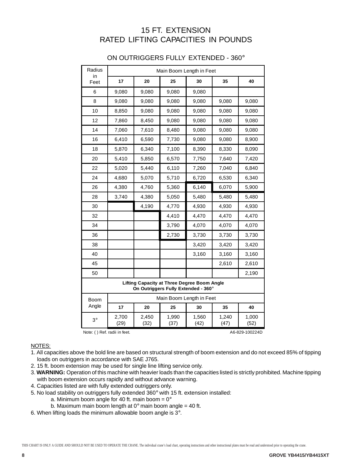## 15 FT. EXTENSION RATED LIFTING CAPACITIES IN POUNDS

| Radius     |               |                                                                                           | Main Boom Length in Feet |               |               |               |
|------------|---------------|-------------------------------------------------------------------------------------------|--------------------------|---------------|---------------|---------------|
| in<br>Feet | 17            | 20                                                                                        | 25                       | 30            | 35            | 40            |
| 6          | 9,080         | 9,080                                                                                     | 9,080                    | 9,080         |               |               |
| 8          | 9,080         | 9,080                                                                                     | 9,080                    | 9,080         | 9,080         | 9,080         |
| 10         | 8,850         | 9,080                                                                                     | 9,080                    | 9,080         | 9,080         | 9,080         |
| 12         | 7,860         | 8,450                                                                                     | 9,080                    | 9,080         | 9,080         | 9,080         |
| 14         | 7,060         | 7,610                                                                                     | 8,480                    | 9,080         | 9,080         | 9,080         |
| 16         | 6,410         | 6,590                                                                                     | 7,730                    | 9,080         | 9,080         | 8,900         |
| 18         | 5,870         | 6,340                                                                                     | 7,100                    | 8,390         | 8,330         | 8,090         |
| 20         | 5,410         | 5,850                                                                                     | 6,570                    | 7,750         | 7,640         | 7,420         |
| 22         | 5,020         | 5,440                                                                                     | 6,110                    | 7,260         | 7,040         | 6,840         |
| 24         | 4,680         | 5,070                                                                                     | 5,710                    | 6,720         | 6,530         | 6,340         |
| 26         | 4,380         | 4,760                                                                                     | 5,360                    | 6,140         | 6,070         | 5,900         |
| 28         | 3,740         | 4,380                                                                                     | 5,050                    | 5,480         | 5,480         | 5,480         |
| 30         |               | 4,190                                                                                     | 4,770                    | 4,930         | 4,930         | 4,930         |
| 32         |               |                                                                                           | 4,410                    | 4,470         | 4,470         | 4,470         |
| 34         |               |                                                                                           | 3,790                    | 4,070         | 4,070         | 4,070         |
| 36         |               |                                                                                           | 2,730                    | 3,730         | 3,730         | 3,730         |
| 38         |               |                                                                                           |                          | 3,420         | 3,420         | 3,420         |
| 40         |               |                                                                                           |                          | 3,160         | 3,160         | 3,160         |
| 45         |               |                                                                                           |                          |               | 2,610         | 2,610         |
| 50         |               |                                                                                           |                          |               |               | 2,190         |
|            |               | <b>Lifting Capacity at Three Degree Boom Angle</b><br>On Outriggers Fully Extended - 360° |                          |               |               |               |
| Boom       |               |                                                                                           | Main Boom Length in Feet |               |               |               |
| Angle      | 17            | 20                                                                                        | 25                       | 30            | 35            | 40            |
| $3^\circ$  | 2,700<br>(29) | 2,450<br>(32)                                                                             | 1,990<br>(37)            | 1,560<br>(42) | 1,240<br>(47) | 1,000<br>(52) |

### ON OUTRIGGERS FULLY EXTENDED - 360°

Note: () Ref. radii in feet. A6-829-100224D

### NOTES:

- 1. All capacities above the bold line are based on structural strength of boom extension and do not exceed 85% of tipping loads on outriggers in accordance with SAE J765.
- 2. 15 ft. boom extension may be used for single line lifting service only.
- 3. **WARNING:** Operation of this machine with heavier loads than the capacities listed is strictly prohibited. Machine tipping with boom extension occurs rapidly and without advance warning.
- 4. Capacities listed are with fully extended outriggers only.
- 5. No load stability on outriggers fully extended 360° with 15 ft. extension installed:
	- a. Minimum boom angle for 40 ft. main boom =  $0^\circ$
	- b. Maximum main boom length at  $0^\circ$  main boom angle = 40 ft.
- 6. When lifting loads the minimum allowable boom angle is 3°.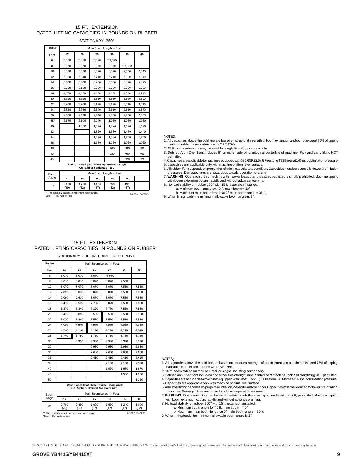### 15 FT. EXTENSION RATED LIFTING CAPACITIES IN POUNDS ON RUBBER

STATIONARY 360°

| Radius<br>in                 |                                               | Main Boom Length in Feet |                                                                            |             |             |                |  |  |  |  |
|------------------------------|-----------------------------------------------|--------------------------|----------------------------------------------------------------------------|-------------|-------------|----------------|--|--|--|--|
| Feet                         | 17                                            | 20                       | 25                                                                         | 30          | 35          | 40             |  |  |  |  |
| 6                            | 8,070                                         | 8,070                    | 8.070                                                                      | **8,070     |             |                |  |  |  |  |
| 8                            | 8,070                                         | 8,070                    | 8,070                                                                      | 8,070       | **7,550     |                |  |  |  |  |
| 10                           | 8,070                                         | 8,070                    | 8.070                                                                      | 8,070       | 7,550       | 7,040          |  |  |  |  |
| 12                           | 7,850                                         | 7.840                    | 7,710                                                                      | 7,710       | 7,550       | 7,040          |  |  |  |  |
| 14                           | 6,400                                         | 6,300                    | 6,200                                                                      | 6,000       | 5,890       | 5,890          |  |  |  |  |
| 16                           | 5,250                                         | 5,130                    | 5,030                                                                      | 5.030       | 5,030       | 5,030          |  |  |  |  |
| 18                           | 4,470                                         | 4,420                    | 4,420                                                                      | 4,420       | 4,310       | 4,210          |  |  |  |  |
| 20                           | 3,790                                         | 3,790                    | 3,650                                                                      | 3,650       | 3,620       | 3,590          |  |  |  |  |
| 22                           | 3,260                                         | 3,260                    | 3,120                                                                      | 3,120       | 3,010       | 3,010          |  |  |  |  |
| 24                           | 2,820                                         | 2.760                    | 2.640                                                                      | 2,610       | 2,610       | 2,570          |  |  |  |  |
| 26                           | 2,460                                         | 2,430                    | 2,340                                                                      | 2,300       | 2,300       | 2,300          |  |  |  |  |
| 28                           | 2,170                                         | 2,100                    | 2,040                                                                      | 1,980       | 1,980       | 1,980          |  |  |  |  |
| 30                           |                                               | 1,880                    | 1.820                                                                      | 1,720       | 1,690       | 1.690          |  |  |  |  |
| 32                           |                                               |                          | 1,560                                                                      | 1,530       | 1,470       | 1,440          |  |  |  |  |
| 34                           |                                               |                          | 1.390                                                                      | 1,330       | 1,250       | 1.250          |  |  |  |  |
| 36                           |                                               |                          | 1,150                                                                      | 1,150       | 1,060       | 1,060          |  |  |  |  |
| 38                           |                                               |                          |                                                                            | 960         | 880         | 880            |  |  |  |  |
| 40                           |                                               |                          |                                                                            | 830         | 700         | 700            |  |  |  |  |
| 45                           |                                               |                          |                                                                            |             | 520         | 520            |  |  |  |  |
|                              |                                               |                          | Lifting Capacity at Three Degree Boom Angle<br>On Rubber Stationary - 360° |             |             |                |  |  |  |  |
| Boom                         |                                               |                          | Main Boom Length in Feet                                                   |             |             |                |  |  |  |  |
| Angle                        | 17                                            | 20                       | 25                                                                         | 30          | 35          |                |  |  |  |  |
| $3^\circ$                    | 2,110<br>(29)                                 | 1.760<br>(32)            | 1,100<br>(37)                                                              | 750<br>(42) | 490<br>(47) |                |  |  |  |  |
| Note: () Ref. radii in feet. | ** This capacity based on maximum boom angle. |                          |                                                                            |             |             | A6-829-100225D |  |  |  |  |

#### NOTES:

1. All capacities above the bold line are based on structural strength of boom extension and do not exceed 75% of tipping loads on rubber in accordance with SAE J765.

2. 15 ft. boom extension may be used for single line lifting service only.

3. Defined Arc - Over front includes 6° on either side of longitudinal centerline of machine. Pick and carry lifting NOT permitted.

4. Capacities are applicable to machines equipped with 385/65R22.5 (J) Firestone T839 tires at 140 psi cold inflation pressure. 5. Capacities are applicable only with machine on firm level surface.

6. All rubber lifting depends on proper tire inflation, capacity and condition. Capacities must be reduced for lower tire inflation pressures. Damaged tires are hazardous to safe operation of crane.

7. **WARNING**: Operation of this machine with heavier loads than the capacities listed is strictly prohibited. Machine tipping with boom extension occurs rapidly and without advance warning.

8. No load stability on rubber 360° with 15 ft. extension installed:

a. Minimum boom angle for 40 ft. main boom = 30° b. Maximum main boom length at 0° main boom angle = 35 ft.

9. When lifting loads the minimum allowable boom angle is 3°.

### 15 FT. EXTENSION RATED LIFTING CAPACITIES IN POUNDS ON RUBBER

STATIONARY - DEFINED ARC OVER FRONT

| Radius                       | Main Boom Length in Feet |                                               |               |                                                                                   |               |                |  |  |
|------------------------------|--------------------------|-----------------------------------------------|---------------|-----------------------------------------------------------------------------------|---------------|----------------|--|--|
| in<br>Feet                   | 17                       | 20                                            | 25            | 30                                                                                | 35            | 40             |  |  |
| 6                            | 8,070                    | 8,070                                         | 8.070         | **8,070                                                                           |               |                |  |  |
| 8                            | 8,070                    | 8,070                                         | 8,070         | 8,070                                                                             | 7,550         |                |  |  |
| 10                           | 8,070                    | 8,070                                         | 8,070         | 8,070                                                                             | 7,550         | 7,550          |  |  |
| 12                           | 7,850                    | 8,070                                         | 8,070         | 8,070                                                                             | 7,550         | 7,550          |  |  |
| 14                           | 7,060                    | 7,610                                         | 8,070         | 8,070                                                                             | 7,550         | 7,550          |  |  |
| 16                           | 6,410                    | 6,590                                         | 7,730         | 8,070                                                                             | 7,550         | 7,550          |  |  |
| 18                           | 5,870                    | 6,340                                         | 7,100         | 7,760                                                                             | 7,550         | 7,550          |  |  |
| 20                           | 5.410                    | 5.850                                         | 6.520         | 6,520                                                                             | 6,520         | 6.520          |  |  |
| 22                           | 5,020                    | 5,440                                         | 5,580         | 5,580                                                                             | 5,580         | 5,580          |  |  |
| 24                           | 4.680                    | 4.840                                         | 4.840         | 4.840                                                                             | 4.840         | 4.840          |  |  |
| 26                           | 4,240                    | 4,240                                         | 4,240         | 4,240                                                                             | 4,240         | 4,240          |  |  |
| 28                           | 3,740                    | 3,750                                         | 3,750         | 3,750                                                                             | 3,750         | 3,750          |  |  |
| 30                           |                          | 3,330                                         | 3,330         | 3,330                                                                             | 3,330         | 3,330          |  |  |
| 32                           |                          |                                               | 2,980         | 2,980                                                                             | 2,980         | 2,980          |  |  |
| 34                           |                          |                                               | 2,680         | 2,680                                                                             | 2,680         | 2,680          |  |  |
| 36                           |                          |                                               | 2,410         | 2,410                                                                             | 2,410         | 2,410          |  |  |
| 38                           |                          |                                               |               | 2,180                                                                             | 2,180         | 2,180          |  |  |
| 40                           |                          |                                               |               | 1,970                                                                             | 1.970         | 1,970          |  |  |
| 45                           |                          |                                               |               |                                                                                   | 1,550         | 1.550          |  |  |
| 50                           |                          |                                               |               |                                                                                   |               | 1,220          |  |  |
|                              |                          |                                               |               | Lifting Capacity at Three Degree Boom Angle<br>On Rubber - Defined Arc Over Front |               |                |  |  |
| Boom                         |                          |                                               |               | Main Boom Length in Feet                                                          |               |                |  |  |
| Angle                        | 17                       | 20                                            | 25            | 30                                                                                | 35            | 40             |  |  |
| $3^\circ$                    | 2,700<br>(29)            | 2,450<br>(32)                                 | 1,990<br>(37) | 1,560<br>(42)                                                                     | 1.240<br>(47) | 1,000<br>(52)  |  |  |
| Note: () Ref. radii in feet. |                          | ** This capacity based on maximum boom angle. |               |                                                                                   |               | A6-829-100226D |  |  |

#### NOTES:

- 1. All capacities above the bold line are based on structural strength of boom extension and do not exceed 75% of tipping
- loads on rubber in accordance with SAE J765. 2. 15 ft. boom extension may be used for single line lifting service only.

3. Defined Arc - Over front includes 6° on either side of longitudinal centerline of machine. Pick and carry lifting NOT permitted.<br>4. Capacities are applicable to machines equipped with 385/65R22.5 (J) Firestone T839 tire

5. Capacities are applicable only with machine on firm level surface.

6. All rubber lifting depends on proper tire inflation, capacity and condition. Capacities must be reduced for lower tire inflation pressures. Damaged tires are hazardous to safe operation of crane.

7. **WARNING**: Operation of this machine with heavier loads than the capacities listed is strictly prohibited. Machine tipping with boom extension occurs rapidly and without advance warning. 8. No load stability on rubber 360° with 15 ft. extension installed:

a. Minimum boom angle for 40 ft. main boom = 40° b. Maximum main boom length at 0° main boom angle = 30 ft. 9. When lifting loads the minimum allowable boom angle is  $3^\circ$ .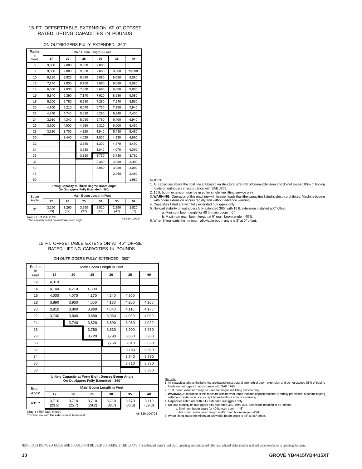#### 15 FT. OFFSETTABLE EXTENSION AT 0° OFFSET RATED LIFTING CAPACITIES IN POUNDS

#### ON OUTRIGGERS FULLY EXTENDED - 360°

| Radius     |               | Main Boom Length in Feet                                                           |                          |               |               |               |  |  |
|------------|---------------|------------------------------------------------------------------------------------|--------------------------|---------------|---------------|---------------|--|--|
| in<br>Feet | 17            | 20                                                                                 | 25                       | 30            | 35            | 40            |  |  |
| 6          | 9,080         | 9,080                                                                              | 9,080                    | 9,080         |               |               |  |  |
| 8          | 9,080         | 9,080                                                                              | 9,080                    | 9,080         | 9,080         | *9,080        |  |  |
| 10         | 8,180         | 8,820                                                                              | 9,080                    | 9,080         | 9,080         | 9,080         |  |  |
| 12         | 7,240         | 7,830                                                                              | 8,760                    | 9,080         | 9,080         | 9,080         |  |  |
| 14         | 6,500         | 7,030                                                                              | 7,890                    | 8,690         | 9,080         | 9,080         |  |  |
| 16         | 5,840         | 6,390                                                                              | 7,170                    | 7,920         | 8,630         | 9,080         |  |  |
| 18         | 5,200         | 5,780                                                                              | 6,580                    | 7,280         | 7,940         | 8,560         |  |  |
| 20         | 4,700         | 5,210                                                                              | 6,070                    | 6,730         | 7,350         | 7,940         |  |  |
| 22         | 4,270         | 4,740                                                                              | 5,520                    | 6,260         | 6,840         | 7,400         |  |  |
| 24         | 3,910         | 4,340                                                                              | 5.060                    | 5,780         | 6,400         | 6.940         |  |  |
| 26         | 3,600         | 4,000                                                                              | 4,660                    | 5,310         | 6,000         | 6,460         |  |  |
| 28         | 3,330         | 3,700                                                                              | 4,320                    | 4,940         | 5,480         | 5,480         |  |  |
| 30         |               | 3,440                                                                              | 4,020                    | 4,600         | 4,930         | 4,930         |  |  |
| 32         |               |                                                                                    | 3,760                    | 4,300         | 4,470         | 4,470         |  |  |
| 34         |               |                                                                                    | 3,530                    | 4,040         | 4,070         | 4,070         |  |  |
| 36         |               |                                                                                    | 3,310                    | 3,730         | 3,730         | 3,730         |  |  |
| 38         |               |                                                                                    |                          | 3,380         | 3,380         | 3,380         |  |  |
| 40         |               |                                                                                    |                          | 3,080         | 3,080         | 3,080         |  |  |
| 45         |               |                                                                                    |                          |               | 2,460         | 2,460         |  |  |
| 50         |               |                                                                                    |                          |               |               | 1,980         |  |  |
|            |               | Lifting Capacity at Three Degree Boom Angle<br>On Outriggers Fully Extended - 360; |                          |               |               |               |  |  |
| Boom       |               |                                                                                    | Main Boom Length in Feet |               |               |               |  |  |
| Angle      | 17            | 20                                                                                 | 25                       | 30            | 35            | 40            |  |  |
| $3^\circ$  | 3,260<br>(29) | 3,260<br>(32)                                                                      | 3,260<br>(37)            | 2,810<br>(42) | 2,250<br>(47) | 1,820<br>(52) |  |  |

NOTES:

1. All capacities above the bold line are based on structural strength of boom extension and do not exceed 85% of tipping

loads on outriggers in accordance with SAE J765. 2. 15 ft. boom extension may be used for single line lifting service only.

3. **WARNING:** Operation of this machine with heavier loads than the capacities listed is strictly prohibited. Machine tipping with boom extension occurs rapidly and without advance warning.

4. Capacities listed are with fully extended outriggers only. 5. No load stability on outriggers fully extended 360° with 15 ft. extension installed at 0° offset:

a. Minimum boom angle for 40 ft. main boom =  $0^\circ$ 

b. Maximum main boom length at  $0^\circ$  main boom angle = 40 ft.

6. When lifting loads the minimum allowable boom angle is 3° at 0° offset.

#### 15 FT. OFFSETTABLE EXTENSION AT 45° OFFSET RATED LIFTING CAPACITIES IN POUNDS

Note: ( ) Ref. radii in feet.<br>\*This capacity based on maximum boom angle. Affect and the same of A6-829-100724

ON OUTRIGGERS FULLY EXTENDED - 360°

| Radius<br>in  |                 | Main Boom Length in Feet                                                                 |                 |                          |                 |                 |  |  |  |
|---------------|-----------------|------------------------------------------------------------------------------------------|-----------------|--------------------------|-----------------|-----------------|--|--|--|
| Feet          | 17              | 20                                                                                       | 25              | 30                       | 35              | 40              |  |  |  |
| 12            | 4.310           |                                                                                          |                 |                          |                 |                 |  |  |  |
| 14            | 4,140           | 4,210                                                                                    | 4,300           |                          |                 |                 |  |  |  |
| 16            | 4,000           | 4,070                                                                                    | 4.170           | 4,240                    | 4,300           |                 |  |  |  |
| 18            | 3,890           | 3,950                                                                                    | 4,050           | 4,130                    | 4,200           | 4,260           |  |  |  |
| 20            | 3,810           | 3.860                                                                                    | 3,960           | 4,040                    | 4,110           | 4,170           |  |  |  |
| 22            | 3,740           | 3,800                                                                                    | 3.880           | 3,960                    | 4,030           | 4.090           |  |  |  |
| 24            |                 | 3,740                                                                                    | 3,820           | 3,890                    | 3,960           | 4,020           |  |  |  |
| 26            |                 |                                                                                          | 3,780           | 3,830                    | 3.900           | 3.960           |  |  |  |
| 28            |                 |                                                                                          | 3,720           | 3,790                    | 3,850           | 3,900           |  |  |  |
| 30            |                 |                                                                                          |                 | 3,760                    | 3,810           | 3,850           |  |  |  |
| 32            |                 |                                                                                          |                 |                          | 3,780           | 3,820           |  |  |  |
| 34            |                 |                                                                                          |                 |                          | 3,740           | 3,790           |  |  |  |
| 36            |                 |                                                                                          |                 |                          | 3,710           | 3,730           |  |  |  |
| 38            |                 |                                                                                          |                 |                          |                 | 3,380           |  |  |  |
|               |                 | Lifting Capacity at Forty Eight Degree Boom Angle<br>On Outriggers Fully Extended - 360° |                 |                          |                 |                 |  |  |  |
| Boom          |                 |                                                                                          |                 | Main Boom Length in Feet |                 |                 |  |  |  |
| Angle         | 17              | 20                                                                                       | 25              | 30                       | 35              | 40              |  |  |  |
| $48^\circ$ ** | 3,710<br>(23.5) | 3.710<br>(25.7)                                                                          | 3,710<br>(29.2) | 3,710<br>(32.7)          | 3.670<br>(36.3) | 3.110<br>(39.8) |  |  |  |

#### NOTES:

1. All capacities above the bold line are based on structural strength of boom extension and do not exceed 85% of tipping<br>2. 15 ft. boom extension may be used for single line lifting service only.<br>2. 15 ft. boom extension

4. Capacities listed are with fully extended outriggers only.<br>5. No load stability on outriggers fully extended 360° with 15 ft. extension installed at 45° offset:<br>a. Minimum boom angle for 40 ft. main boom = 45°

b. Maximum main boom length at 45° main boom angle = 40 ft. 6. When lifting loads the minimum allowable boom angle is 48° at 45° offset.

Note: ( ) Ref. radii in feet. \*\* Radii are with the extension at horizontal. A6-829-100725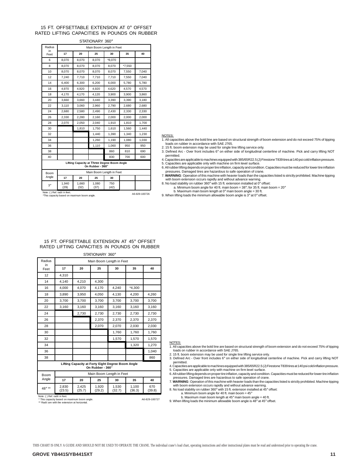#### 15 FT. OFFSETTABLE EXTENSION AT 0° OFFSET RATED LIFTING CAPACITIES IN POUNDS ON RUBBER

STATIONARY 360°

| Radius      |                                                                 | Main Boom Length in Feet |               |                          |        |       |  |  |
|-------------|-----------------------------------------------------------------|--------------------------|---------------|--------------------------|--------|-------|--|--|
| in<br>Feet  | 17                                                              | 20                       | 25            | 30                       | 35     | 40    |  |  |
| 6           | 8,070                                                           | 8,070                    | 8,070         | *8,070                   |        |       |  |  |
| 8           | 8,070                                                           | 8,070                    | 8.070         | 8,070                    | *7,550 |       |  |  |
| 10          | 8.070                                                           | 8.070                    | 8.070         | 8,070                    | 7,550  | 7,040 |  |  |
| 12          | 7,240                                                           | 7,710                    | 7,710         | 7,710                    | 7,550  | 7,040 |  |  |
| 14          | 6.400                                                           | 6.300                    | 6.200         | 6.000                    | 5.780  | 5.780 |  |  |
| 16          | 4,970                                                           | 4,920                    | 4,920         | 4,620                    | 4,570  | 4,570 |  |  |
| 18          | 4,170                                                           | 4,170                    | 4,120         | 3,900                    | 3,900  | 3,860 |  |  |
| 20          | 3,660                                                           | 3,660                    | 3,440         | 3,390                    | 3,390  | 3,180 |  |  |
| 22          | 3,110                                                           | 3,060                    | 2,960         | 2,790                    | 2,680  | 2,680 |  |  |
| 24          | 2,680                                                           | 2,580                    | 2,490         | 2,430                    | 2,330  | 2,330 |  |  |
| 26          | 2,330                                                           | 2,280                    | 2,160         | 2,000                    | 2.000  | 2,000 |  |  |
| 28          | 2,070                                                           | 2,050                    | 2,040         | 1,910                    | 1,810  | 1,700 |  |  |
| 30          |                                                                 | 1,810                    | 1,750         | 1,610                    | 1,560  | 1,440 |  |  |
| 32          |                                                                 |                          | 1,440         | 1,390                    | 1,340  | 1,230 |  |  |
| 34          |                                                                 |                          | 1,260         | 1,190                    | 1,080  | 1,030 |  |  |
| 36          |                                                                 |                          | 1,110         | 1,060                    | 950    | 950   |  |  |
| 38          |                                                                 |                          |               | 860                      | 810    | 690   |  |  |
| 40          |                                                                 |                          |               | 830                      | 700    | 600   |  |  |
|             | Lifting Capacity at Three Degree Boom Angle<br>On Rubber - 360° |                          |               |                          |        |       |  |  |
| Boom        |                                                                 |                          |               | Main Boom Length in Feet |        |       |  |  |
| Angle       | 17                                                              | 20                       | 25            | 30                       |        |       |  |  |
| $3^{\circ}$ | 1.940<br>(29)                                                   | 1,660<br>(32)            | 1.080<br>(37) | 750<br>(42)              |        |       |  |  |

Note: ( ) Ref. radii in feet. \*This capacity based on maximum boom angle. A6-829-100726

NOTES:

 $1.$  All capacities above the bold line are based on structural strength of boom extension and do not exceed 75% of tipping loads on rubber in accordance with SAE J765.

2. 15 ft. boom extension may be used for single line lifting service only.

3. Defined Arc - Over front includes 6° on either side of longitudinal centerline of machine. Pick and carry lifting NOT permitted.

4. Capacities are applicable to machines equipped with 385/65R22.5 (J) Firestone T839 tires at 140 psi cold inflation pressure.

5. Capacities are applicable only with machine on firm level surface. 6. All rubber lifting depends on proper tire inflation, capacity and condition. Capacities must be reduced for lower tire inflation pressures. Damaged tires are hazardous to safe operation of crane. 7. **WARNING**: Operation of this machine with heavier loads than the capacities listed is strictly prohibited. Machine tipping

with boom extension occurs rapidly and without advance warning.

8. No load stability on rubber 360° with 15 ft. extension installed at 0° offset: a. Minimum boom angle for 40 ft. main boom =  $38^{\circ}$ ; for 35 ft. main boom =  $20^{\circ}$ 

b. Maximum main boom length at 0° main boom angle = 30 ft. 9. When lifting loads the minimum allowable boom angle is 3° at 0° offset.

#### 15 FT. OFFSETTABLE EXTENSION AT 45° OFFSET RATED LIFTING CAPACITIES IN POUNDS ON RUBBER

STATIONARY 360° Radius in Feet Main Boom Length in Feet **17 20 25 30 35 40** 12 4,310 14 4,140 4,210 4,300 16 4,000 4,070 4,170 4,240 \*4,300 18 3,890 3,950 4,050 4,130 4,200 4,260 20 3,700 3,700 3,700 3,700 3,700 3,700 22 3,160 3,160 3,160 3,160 3,160 3,160 24 2,730 2,730 2,730 2,730 2,730 26 2,370 2,370 2,370 2,370 28 2,070 2,070 2,030 2,030 30 1,760 1,760 1,760 32 1,570 1,570 1,570 34 1,320 1,270 36 1,040 38 860 **Lifting Capacity at Forty Eight Degree Boom Angle On Rubber - 360**°

| <b>Boom</b> |                 |                 |                 | Main Boom Length in Feet |                 |               |
|-------------|-----------------|-----------------|-----------------|--------------------------|-----------------|---------------|
| Angle       | 17              | 20              | 25              | 30                       | 35              | 40            |
| 48° **      | 2.830<br>(23.5) | 2.425<br>(25.7) | 1.920<br>(29.2) | 1.530<br>(32.7)          | 1.100<br>(36.3) | 670<br>(39.8) |

Note: ( ) Ref. radii in feet. \* This capacity based on maximum boom angle.

\*\*\*\* Fee and state and maintain seam.

#### NOTES:

1. All capacities above the bold line are based on structural strength of boom extension and do not exceed 75% of tipping loads on rubber in accordance with SAE J765.

2. 15 ft. boom extension may be used for single line lifting service only. 3. Defined Arc - Over front includes 6° on either side of longitudinal centerline of machine. Pick and carry lifting NOT permitted.

4. Capacities are applicable to machines equipped with 385/65R22.5 (J) Firestone T839 tires at 140 psi cold inflation pressure. 5. Capacities are applicable only with machine on firm level surface. 6. All rubber lifting depends on proper tire inflation, capacity and condition. Capacities must be reduced for lower tire inflation

pressures. Damaged tires are hazardous to safe operation of crane.

7. **WARNING**: Operation of this machine with heavier loads than the capacities listed is strictly prohibited. Machine tipping with boom extension occurs rapidly and without advance warning. 8. No load stability on rubber 360° with 15 ft. extension installed at 45° offset:

a. Minimum boom angle for 40 ft. main boom =  $45^\circ$ 

b. Maximum main boom length at 45° main boom angle = 40 ft.

9. When lifting loads the minimum allowable boom angle is 48° at 45° offset.

A6-829-100727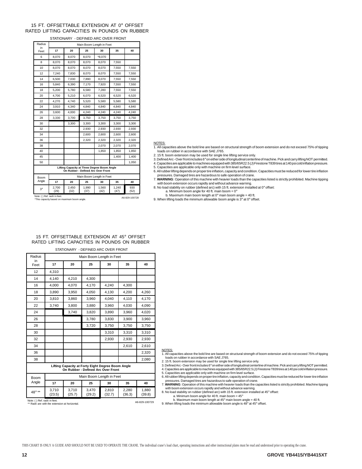#### 15 FT. OFFSETTABLE EXTENSION AT 0° OFFSET RATED LIFTING CAPACITIES IN POUNDS ON RUBBER STATIONARY - DEFINED ARC OVER FRONT

| Radius                                   |               |               |               | Main Boom Length in Feet                                                          |               |             |
|------------------------------------------|---------------|---------------|---------------|-----------------------------------------------------------------------------------|---------------|-------------|
| in<br>Feet                               | 17            | 20            | 25            | 30                                                                                | 35            | 40          |
| 6                                        | 8,070         | 8.070         | 8.070         | *8.070                                                                            |               |             |
| 8                                        | 8,070         | 8,070         | 8,070         | 8,070                                                                             | 7,550         |             |
| 10                                       | 8.070         | 8.070         | 8.070         | 8.070                                                                             | 7,550         | 7,550       |
| 12                                       | 7,240         | 7,830         | 8,070         | 8,070                                                                             | 7,550         | 7,550       |
| 14                                       | 6,500         | 7,030         | 7,890         | 8,070                                                                             | 7,550         | 7,550       |
| 16                                       | 5.840         | 6.390         | 7,170         | 7,920                                                                             | 7,550         | 7,550       |
| 18                                       | 5,200         | 5,780         | 6,580         | 7,280                                                                             | 7,550         | 7,550       |
| 20                                       | 4,700         | 5,210         | 6,070         | 6,520                                                                             | 6,520         | 6,520       |
| 22                                       | 4,270         | 4,740         | 5,520         | 5,580                                                                             | 5,580         | 5,580       |
| 24                                       | 3,910         | 4,340         | 4,840         | 4,840                                                                             | 4,840         | 4,840       |
| 26                                       | 3,600         | 4.000         | 4.240         | 4,240                                                                             | 4,240         | 4,240       |
| 28                                       | 3,330         | 3,700         | 3,750         | 3,750                                                                             | 3,750         | 3,750       |
| 30                                       |               | 3,300         | 3,300         | 3,300                                                                             | 3,300         | 3,300       |
| 32                                       |               |               | 2,930         | 2,930                                                                             | 2,930         | 2,930       |
| 34                                       |               |               | 2,600         | 2,600                                                                             | 2,600         | 2,600       |
| 36                                       |               |               | 2,320         | 2,320                                                                             | 2,320         | 2,320       |
| 38                                       |               |               |               | 2,070                                                                             | 2,070         | 2,070       |
| 40                                       |               |               |               | 1,850                                                                             | 1,850         | 1,850       |
| 45                                       |               |               |               |                                                                                   | 1,400         | 1.400       |
| 50                                       |               |               |               |                                                                                   |               | 1,050       |
|                                          |               |               |               | Lifting Capacity at Three Degree Boom Angle<br>On Rubber - Defined Arc Over Front |               |             |
| <b>Boom</b>                              |               |               |               | Main Boom Length in Feet                                                          |               |             |
| Angle                                    | 17            | 20            | 25            | 30                                                                                | 35            | 40          |
| $3^\circ$<br>Note: ( ) Def medii in foot | 2.700<br>(29) | 2.450<br>(32) | 1,990<br>(37) | 1,560<br>(42)                                                                     | 1,240<br>(47) | 930<br>(52) |

Note: ( ) Ref. radii in feet. \*This capacity based on maximum boom angle. A6-829-100728

NOTES:

1. All capacities above the bold line are based on structural strength of boom extension and do not exceed 75% of tipping

loads on rubber in accordance with SAE J765. 2. 15 ft. boom extension may be used for single line lifting service only.

3. Defined Arc - Over front includes 6° on either side of longitudinal centerline of machine. Pick and carry lifting NOT permitted.<br>4. Capacities are applicable to machines equipped with 385/65R22.5 (J) Firestone T839 tire

5. Capacities are applicable only with machine on firm level surface.

6. All rubber lifting depends on proper tire inflation, capacity and condition. Capacities must be reduced for lower tire inflation pressures. Damaged tires are hazardous to safe operation of crane.

7. **WARNING**: Operation of this machine with heavier loads than the capacities listed is strictly prohibited. Machine tipping with boom extension occurs rapidly and without advance warning. 8. No load stability on rubber (defined arc) with 15 ft. extension installed at 0° offset:

a. Minimum boom angle for 40 ft. main boom = 0°<br>b. Maximum main boom length at 0° main boom angle = 40 ft.

9. When lifting loads the minimum allowable boom angle is 3° at 0° offset.

#### 15 FT. OFFSETTABLE EXTENSION AT 45° OFFSET RATED LIFTING CAPACITIES IN POUNDS ON RUBBER STATIONARY - DEFINED ARC OVER FRONT

| Radius<br>in |       |       |       | Main Boom Length in Feet                                                                |       |       |
|--------------|-------|-------|-------|-----------------------------------------------------------------------------------------|-------|-------|
| Feet         | 17    | 20    | 25    | 30                                                                                      | 35    | 40    |
| 12           | 4,310 |       |       |                                                                                         |       |       |
| 14           | 4.140 | 4.210 | 4.300 |                                                                                         |       |       |
| 16           | 4,000 | 4,070 | 4,170 | 4,240                                                                                   | 4,300 |       |
| 18           | 3,890 | 3,950 | 4,050 | 4,130                                                                                   | 4,200 | 4,260 |
| 20           | 3,810 | 3,860 | 3,960 | 4,040                                                                                   | 4,110 | 4,170 |
| 22           | 3,740 | 3.800 | 3,880 | 3,960                                                                                   | 4,030 | 4.090 |
| 24           |       | 3,740 | 3.820 | 3.890                                                                                   | 3,960 | 4.020 |
| 26           |       |       | 3,780 | 3,830                                                                                   | 3,900 | 3,960 |
| 28           |       |       | 3,720 | 3,750                                                                                   | 3,750 | 3,750 |
| 30           |       |       |       | 3,310                                                                                   | 3,310 | 3,310 |
| 32           |       |       |       | 2,930                                                                                   | 2,930 | 2,930 |
| 34           |       |       |       |                                                                                         | 2,610 | 2,610 |
| 36           |       |       |       |                                                                                         |       | 2,320 |
| 38           |       |       |       |                                                                                         |       | 2,080 |
|              |       |       |       | Lifting Capacity at Forty Eight Degree Boom Angle<br>On Rubber - Defined Arc Over Front |       |       |
| Boom         |       |       |       | Main Boom Length in Feet                                                                |       |       |
| Angle        | 17    | 20    | 25    | 30                                                                                      | 35    | 40    |

3,470 (29.2)

2,810 (32.7) NOTES:

1. All capacities above the bold line are based on structural strength of boom extension and do not exceed 75% of tipping loads on rubber in accordance with SAE J765.

2. 15 ft. boom extension may be used for single line lifting service only.<br>3. Defined Arc-Over front includes 6° on either side of longitudinal centerline of machine. Pick and carrylifting NOT permitted.<br>4. Capacities are

5. Capacities are applicable only with machine on firm level surface.

6. All rubber lifting depends on proper tire inflation, capacity and condition. Capacities must be reduced for lower tire inflation pressures. Damaged tires are hazardous to safe operation of crane. 7. **WARNING**: Operation of this machine with heavier loads than the capacities listed is strictly prohibited. Machine tipping

with boom extension occurs rapidly and without advance warning.<br>8. No load stability on rubber (defined arc) with 15 ft. extension installed at 45° offset:<br>a. Minimum boom angle for 40 ft. main boom = 45°

b. Maximum main boom length at 45° main boom angle = 40 ft. 9. When lifting loads the minimum allowable boom angle is 48° at 45° offset.

(23.5) Note: ( ) Ref. radii in feet. \*\* Radii are with the extension at horizontal. A6-829-100729

3,710 (25.7)

 $48^\circ$  \*\* 3,710

1,880 (39.8)

2,280 (36.3)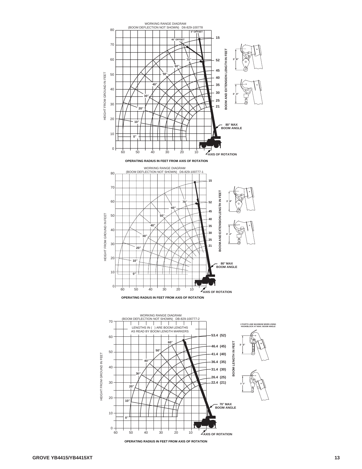

**OPERATING RADIUS IN FEET FROM AXIS OF ROTATION**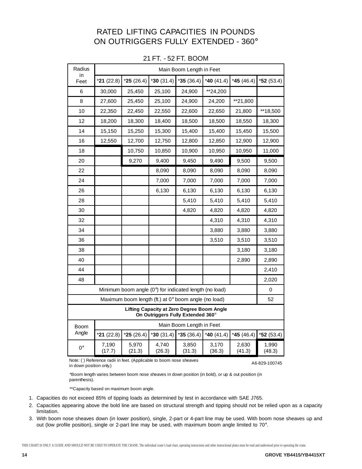## RATED LIFTING CAPACITIES IN POUNDS ON OUTRIGGERS FULLY EXTENDED - 360°

| Radius      |                 |                 |                                                                                 | Main Boom Length in Feet |                 |                 |                 |
|-------------|-----------------|-----------------|---------------------------------------------------------------------------------|--------------------------|-----------------|-----------------|-----------------|
| in<br>Feet  | $*21(22.8)$     | $*25(26.4)$     | $*30(31.4)$                                                                     | $*35(36.4)$              | *40 $(41.4)$    | *45 $(46.4)$    | $*52(53.4)$     |
| 6           | 30,000          | 25,450          | 25,100                                                                          | 24,900                   | **24,200        |                 |                 |
| 8           | 27,600          | 25,450          | 25,100                                                                          | 24,900                   | 24,200          | **21,800        |                 |
| 10          | 22,350          | 22,450          | 22,550                                                                          | 22,600                   | 22,650          | 21,800          | **18,500        |
| 12          | 18,200          | 18,300          | 18,400                                                                          | 18,500                   | 18,500          | 18,550          | 18,300          |
| 14          | 15,150          | 15,250          | 15,300                                                                          | 15,400                   | 15,400          | 15,450          | 15,500          |
| 16          | 12,550          | 12,700          | 12,750                                                                          | 12,800                   | 12,850          | 12,900          | 12,900          |
| 18          |                 | 10,750          | 10,850                                                                          | 10,900                   | 10,950          | 10,950          | 11,000          |
| 20          |                 | 9,270           | 9,400                                                                           | 9,450                    | 9,490           | 9,500           | 9,500           |
| 22          |                 |                 | 8,090                                                                           | 8,090                    | 8,090           | 8,090           | 8,090           |
| 24          |                 |                 | 7,000                                                                           | 7,000                    | 7,000           | 7,000           | 7,000           |
| 26          |                 |                 | 6,130                                                                           | 6,130                    | 6,130           | 6,130           | 6,130           |
| 28          |                 |                 |                                                                                 | 5,410                    | 5,410           | 5,410           | 5,410           |
| 30          |                 |                 |                                                                                 | 4,820                    | 4,820           | 4,820           | 4,820           |
| 32          |                 |                 |                                                                                 |                          | 4,310           | 4,310           | 4,310           |
| 34          |                 |                 |                                                                                 |                          | 3,880           | 3,880           | 3,880           |
| 36          |                 |                 |                                                                                 |                          | 3,510           | 3,510           | 3,510           |
| 38          |                 |                 |                                                                                 |                          |                 | 3,180           | 3,180           |
| 40          |                 |                 |                                                                                 |                          |                 | 2,890           | 2,890           |
| 44          |                 |                 |                                                                                 |                          |                 |                 | 2,410           |
| 48          |                 |                 |                                                                                 |                          |                 |                 | 2,020           |
|             |                 |                 | Minimum boom angle (0°) for indicated length (no load)                          |                          |                 |                 | 0               |
|             |                 |                 | Maximum boom length (ft.) at 0° boom angle (no load)                            |                          |                 |                 | 52              |
|             |                 |                 | Lifting Capacity at Zero Degree Boom Angle<br>On Outriggers Fully Extended 360° |                          |                 |                 |                 |
| <b>Boom</b> |                 |                 |                                                                                 | Main Boom Length in Feet |                 |                 |                 |
| Angle       | $*21(22.8)$     | $*25(26.4)$     | $*30(31.4)$                                                                     | $*35(36.4)$              | *40 $(41.4)$    | $*45(46.4)$     | $*52(53.4)$     |
| $0^{\circ}$ | 7,190<br>(17.7) | 5,970<br>(21.3) | 4,740<br>(26.3)                                                                 | 3,850<br>(31.3)          | 3,170<br>(36.3) | 2,630<br>(41.3) | 1,990<br>(48.3) |

21 FT. - 52 FT. BOOM

Note: ( ) Reference radii in feet. (Applicable to boom nose sheaves in down position only.) A6-829-100745

\*Boom length varies between boom nose sheaves in down position (in bold), or up & out position (in parenthesis).

\*\*Capacity based on maximum boom angle.

- 1. Capacities do not exceed 85% of tipping loads as determined by test in accordance with SAE J765.
- 2. Capacities appearing above the bold line are based on structural strength and tipping should not be relied upon as a capacity limitation.
- 3. With boom nose sheaves down (in lower position), single, 2-part or 4-part line may be used. With boom nose sheaves up and out (low profile position), single or 2-part line may be used, with maximum boom angle limited to 70°.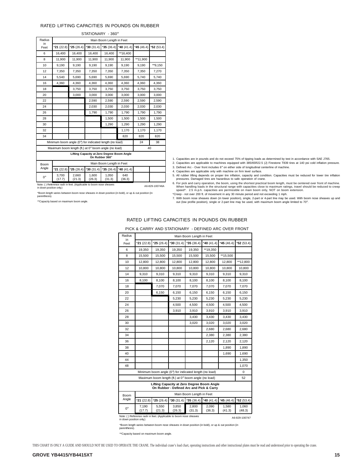#### RATED LIFTING CAPACITIES IN POUNDS ON RUBBER

|                         | STATIONARY - 360°                                                  |                 |                 |                                                              |               |             |                |  |
|-------------------------|--------------------------------------------------------------------|-----------------|-----------------|--------------------------------------------------------------|---------------|-------------|----------------|--|
| Radius                  |                                                                    |                 |                 | Main Boom Length in Feet                                     |               |             |                |  |
| in.<br>Feet             | $*21(22.8)$                                                        | $*25(26.4)$     | $*30(31.4)$     | $*35(36.4)$                                                  | $*$ 40 (41.4) | $*45(46.4)$ | $*52(53.4)$    |  |
| 6                       | 16.400                                                             | 16.400          | 16.400          | 16.400                                                       | **16,400      |             |                |  |
| 8                       | 11.900                                                             | 11,900          | 11.900          | 11.900                                                       | 11.900        | **11,900    |                |  |
| 10                      | 9,190                                                              | 9,190           | 9,190           | 9,190                                                        | 9,190         | 9,190       | **9,150        |  |
| 12                      | 7,350                                                              | 7,350           | 7,350           | 7,350                                                        | 7,350         | 7,350       | 7,270          |  |
| 14                      | 5,540                                                              | 5,690           | 5,690           | 5,690                                                        | 5,690         | 5,740       | 5,740          |  |
| 16                      | 4,360                                                              | 4.360           | 4.360           | 4.360                                                        | 4.360         | 4.360       | 4.360          |  |
| 18                      |                                                                    | 3,750           | 3,750           | 3,750                                                        | 3,750         | 3,750       | 3,750          |  |
| 20                      |                                                                    | 3,000           | 3,000           | 3,000                                                        | 3,000         | 3,000       | 3,000          |  |
| 22                      |                                                                    |                 | 2,590           | 2,590                                                        | 2,590         | 2,590       | 2,590          |  |
| 24                      |                                                                    |                 | 2,030           | 2.030                                                        | 2.030         | 2.030       | 2,030          |  |
| 26                      |                                                                    |                 | 1,790           | 1,790                                                        | 1,790         | 1,790       | 1,790          |  |
| 28                      |                                                                    |                 |                 | 1,500                                                        | 1,500         | 1,500       | 1,500          |  |
| 30                      |                                                                    |                 |                 | 1,290                                                        | 1,290         | 1,290       | 1,290          |  |
| 32                      |                                                                    |                 |                 |                                                              | 1,170         | 1,170       | 1,170          |  |
| 34                      |                                                                    |                 |                 |                                                              | 820           | 820         | 820            |  |
|                         | Minimum boom angle (0°) for indicated length (no load)             |                 |                 |                                                              |               | 24          | 38             |  |
|                         | Maximum boom length (ft.) at 0° boom angle (no load)               |                 |                 |                                                              |               |             | 40             |  |
|                         |                                                                    |                 |                 | Lifting Capacity at Zero Degree Boom Angle<br>On Rubber 360° |               |             |                |  |
| Boom                    |                                                                    |                 |                 | Main Boom Length in Feet                                     |               |             |                |  |
| Angle                   | $*21(22.8)$                                                        | $*25(26.4)$     | $*30(31.4)$     | $*35(36.4)$                                                  | *40 $(41.4)$  |             |                |  |
| 0°                      | 3,700<br>(17.7)                                                    | 2,660<br>(21.3) | 1,600<br>(26.3) | 1,050<br>(31.3)                                              | 640<br>(36.3) |             |                |  |
| in down position only.) | Note: () Reference radii in feet. (Applicable to boom nose sheaves |                 |                 |                                                              |               |             | A6-829-100746A |  |

1. Capacities are in pounds and do not exceed 75% of tipping loads as determined by test in accordance with SAE J765.<br>2. Capacities are applicable to machines equipped with 385/65R22.5 (J) Firestone T839 tires at 140 psi c 3. Defined Arc - Over front includes 6° on either side of longitudinal centerline of machine.

4. Capacities are applicable only with machine on firm level surface.

5. All rubber lifting depends on proper tire inflation, capacity and condition. Capacities must be reduced for lower tire inflation<br>pressures. Damaged tires are hazardous to safe operation of crane. 6. For pick and carry operation, the boom, using the shortest practical boom length, must be centered over front of machine.

\*Boom length varies between boom nose sheaves in down position (in bold), or up & out position (in parenthesis).

\*\*Capacity based on maximum boom angle.

When handling loads in the structural range with capacities close to maximum ratings, travel should be reduced to creep<br>speed\*. 2.5 m.p.h. capacities are permissible on main boom only, NOT on boom extension.<br>\*Creep - not

7. With boom nose sheaves down (in lower position), single, 2-part or 4-part line may be used. With boom nose sheaves up and<br>out (low profile position), single or 2-part line may be used, with maximum boom angle limited to

#### RATED LIFTING CAPACITIES IN POUNDS ON RUBBER

|                                   |  | PICK & CARRY AND STATIONARY - DEFINED ARC OVER FRONT |  |
|-----------------------------------|--|------------------------------------------------------|--|
| and the state of the state of the |  |                                                      |  |

| Radius      |                                                                    |                 |                                                                                        | Main Boom Length in Feet |                 |                 |                 |
|-------------|--------------------------------------------------------------------|-----------------|----------------------------------------------------------------------------------------|--------------------------|-----------------|-----------------|-----------------|
| in<br>Feet  | $*21(22.8)$                                                        | $*25(26.4)$     | $*30(31.4)$                                                                            | $*35(36.4)$              | *40 $(41.4)$    | *45 $(46.4)$    | $*52(53.4)$     |
| 6           | 19.350                                                             | 19.350          | 19.350                                                                                 | 19.350                   | **19,350        |                 |                 |
| 8           | 15,500                                                             | 15,500          | 15,500                                                                                 | 15,500                   | 15,500          | ** 15,500       |                 |
| 10          | 12,800                                                             | 12,800          | 12,800                                                                                 | 12,800                   | 12,800          | 12,800          | **12,800        |
| 12          | 10,800                                                             | 10,800          | 10,800                                                                                 | 10,800                   | 10,800          | 10,800          | 10,800          |
| 14          | 9,310                                                              | 9,310           | 9,310                                                                                  | 9,310                    | 9,310           | 9,310           | 9,310           |
| 16          | 8,100                                                              | 8,100           | 8,100                                                                                  | 8,100                    | 8,100           | 8,100           | 8,100           |
| 18          |                                                                    | 7,070           | 7,070                                                                                  | 7,070                    | 7,070           | 7,070           | 7,070           |
| 20          |                                                                    | 6,150           | 6,150                                                                                  | 6,150                    | 6,150           | 6,150           | 6,150           |
| 22          |                                                                    |                 | 5,230                                                                                  | 5,230                    | 5,230           | 5,230           | 5,230           |
| 24          |                                                                    |                 | 4,500                                                                                  | 4,500                    | 4,500           | 4,500           | 4,500           |
| 26          |                                                                    |                 | 3,910                                                                                  | 3,910                    | 3,910           | 3,910           | 3,910           |
| 28          |                                                                    |                 |                                                                                        | 3,430                    | 3,430           | 3,430           | 3,430           |
| 30          |                                                                    |                 |                                                                                        | 3,020                    | 3,020           | 3.020           | 3.020           |
| 32          |                                                                    |                 |                                                                                        |                          | 2,680           | 2,680           | 2,680           |
| 34          |                                                                    |                 |                                                                                        |                          | 2.380           | 2,380           | 2.380           |
| 36          |                                                                    |                 |                                                                                        |                          | 2,120           | 2,120           | 2,120           |
| 38          |                                                                    |                 |                                                                                        |                          |                 | 1,890           | 1,890           |
| 40          |                                                                    |                 |                                                                                        |                          |                 | 1,690           | 1,690           |
| 44          |                                                                    |                 |                                                                                        |                          |                 |                 | 1,350           |
| 48          |                                                                    |                 |                                                                                        |                          |                 |                 | 1,070           |
|             |                                                                    |                 | Minimum boom angle (0°) for indicated length (no load)                                 |                          |                 |                 | 0               |
|             |                                                                    |                 | Maximum boom length (ft.) at 0° boom angle (no load)                                   |                          |                 |                 | 52              |
|             |                                                                    |                 | Lifting Capacity at Zero Degree Boom Angle<br>On Rubber - Defined Arc and Pick & Carry |                          |                 |                 |                 |
| Boom        |                                                                    |                 |                                                                                        | Main Boom Length in Feet |                 |                 |                 |
| Angle       | $*21(22.8)$                                                        | $*25(26.4)$     | $*30(31.4)$                                                                            | $*35(36.4)$              | *40 $(41.4)$    | *45 $(46.4)$    | $*52(53.4)$     |
| $0^{\circ}$ | 7,190<br>(17.7)                                                    | 5,550<br>(21.3) | 3,850<br>(26.3)                                                                        | 2,800<br>(31.3)          | 2,090<br>(36.3) | 1,580<br>(41.3) | 1,060<br>(48.3) |
|             | Note: () Reference radii in feet. (Applicable to boom nose sheaves |                 |                                                                                        |                          |                 |                 |                 |

Note: () Reference radii in feet. (Applicable to boom nose sheaves<br>in down position only.) A6-829-100747

\*Boom length varies between boom nose sheaves in down position (in bold), or up & out position (in parenthesis).

\*\*Capacity based on maximum boom angle.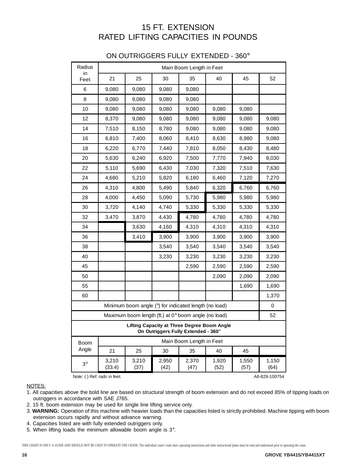## 15 FT. EXTENSION RATED LIFTING CAPACITIES IN POUNDS

### ON OUTRIGGERS FULLY EXTENDED - 360°

| Radius     |                                                                                           |               |               | Main Boom Length in Feet                              |               |               |               |  |
|------------|-------------------------------------------------------------------------------------------|---------------|---------------|-------------------------------------------------------|---------------|---------------|---------------|--|
| in<br>Feet | 21                                                                                        | 25            | 30            | 35                                                    | 40            | 45            | 52            |  |
| 6          | 9,080                                                                                     | 9,080         | 9,080         | 9,080                                                 |               |               |               |  |
| 8          | 9,080                                                                                     | 9,080         | 9,080         | 9,080                                                 |               |               |               |  |
| 10         | 9,080                                                                                     | 9,080         | 9,080         | 9,080                                                 | 9,080         | 9,080         |               |  |
| 12         | 8,370                                                                                     | 9,080         | 9,080         | 9,080                                                 | 9,080         | 9,080         | 9,080         |  |
| 14         | 7,510                                                                                     | 8,150         | 8,780         | 9,080                                                 | 9,080         | 9,080         | 9,080         |  |
| 16         | 6,810                                                                                     | 7,400         | 8,060         | 8,410                                                 | 8,630         | 8,980         | 9,080         |  |
| 18         | 6,220                                                                                     | 6,770         | 7,440         | 7,810                                                 | 8,050         | 8,430         | 8,480         |  |
| 20         | 5,630                                                                                     | 6,240         | 6,920         | 7,500                                                 | 7,770         | 7,940         | 8,030         |  |
| 22         | 5,110                                                                                     | 5,690         | 6,430         | 7,030                                                 | 7,320         | 7,510         | 7,630         |  |
| 24         | 4,680                                                                                     | 5,210         | 5,820         | 6,180                                                 | 6,460         | 7,120         | 7,270         |  |
| 26         | 4,310                                                                                     | 4,800         | 5,490         | 5,840                                                 | 6,320         | 6,760         | 6,760         |  |
| 28         | 4,000                                                                                     | 4,450         | 5,090         | 5,730                                                 | 5,980         | 5,980         | 5,980         |  |
| 30         | 3,720                                                                                     | 4,140         | 4,740         | 5,330                                                 | 5,330         | 5,330         | 5,330         |  |
| 32         | 3,470                                                                                     | 3,870         | 4,430         | 4,780                                                 | 4,780         | 4,780         | 4,780         |  |
| 34         |                                                                                           | 3,630         | 4,160         | 4,310                                                 | 4,310         | 4,310         | 4,310         |  |
| 36         |                                                                                           | 3,410         | 3,900         | 3,900                                                 | 3,900         | 3,900         | 3,900         |  |
| 38         |                                                                                           |               | 3,540         | 3,540                                                 | 3,540         | 3,540         | 3,540         |  |
| 40         |                                                                                           |               | 3,230         | 3,230                                                 | 3,230         | 3,230         | 3,230         |  |
| 45         |                                                                                           |               |               | 2,590                                                 | 2,590         | 2,590         | 2,590         |  |
| 50         |                                                                                           |               |               |                                                       | 2,090         | 2,090         | 2,090         |  |
| 55         |                                                                                           |               |               |                                                       |               | 1,690         | 1,690         |  |
| 60         |                                                                                           |               |               |                                                       |               |               | 1,370         |  |
|            |                                                                                           |               |               | Minimum boom angle (°) for indicated length (no load) |               |               | 0             |  |
|            |                                                                                           |               |               | Maximum boom length (ft.) at 0° boom angle (no load)  |               |               | 52            |  |
|            | <b>Lifting Capacity at Three Degree Boom Angle</b><br>On Outriggers Fully Extended - 360° |               |               |                                                       |               |               |               |  |
| Boom       | Main Boom Length in Feet                                                                  |               |               |                                                       |               |               |               |  |
| Angle      | 21                                                                                        | 25            | 30            | 35                                                    | 40            | 45            |               |  |
| $3^\circ$  | 3,210<br>(33.4)                                                                           | 3,210<br>(37) | 2,950<br>(42) | 2,370<br>(47)                                         | 1,920<br>(52) | 1,550<br>(57) | 1,150<br>(64) |  |

Note: ( ) Ref. radii in feet. A6-829-100754

NOTES:

- 1. All capacities above the bold line are based on structural strength of boom extension and do not exceed 85% of tipping loads on outriggers in accordance with SAE J765.
- 2. 15 ft. boom extension may be used for single line lifting service only.
- 3. **WARNING:** Operation of this machine with heavier loads than the capacities listed is strictly prohibited. Machine tipping with boom extension occurs rapidly and without advance warning.
- 4. Capacities listed are with fully extended outriggers only.
- 5. When lifting loads the minimum allowable boom angle is 3°.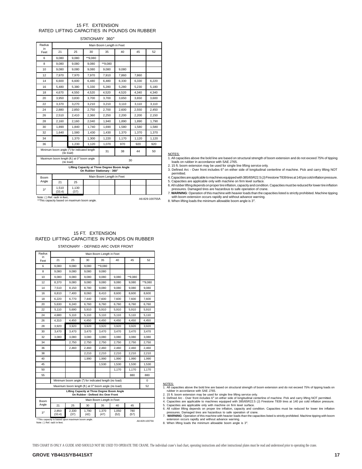### 15 FT. EXTENSION RATED LIFTING CAPACITIES IN POUNDS ON RUBBER

STATIONARY 360°

| Radius      |                                             |               |                                                                            | Main Boom Length in Feet |       |       |       |
|-------------|---------------------------------------------|---------------|----------------------------------------------------------------------------|--------------------------|-------|-------|-------|
| in.<br>Feet | 21                                          | 25            | 30                                                                         | 35                       | 40    | 45    | 52    |
| 6           | 9.080                                       | 9.080         | **9.080                                                                    |                          |       |       |       |
| 8           | 9,080                                       | 9,080         | 9,080                                                                      | **9,080                  |       |       |       |
| 10          | 9.080                                       | 9.080         | 9.080                                                                      | 9.080                    | 9.080 |       |       |
| 12          | 7,970                                       | 7,970         | 7,970                                                                      | 7,910                    | 7,860 | 7,860 |       |
| 14          | 6.600                                       | 6.600         | 6.480                                                                      | 6.480                    | 6.330 | 6.330 | 6.220 |
| 16          | 5,480                                       | 5,380         | 5,330                                                                      | 5,280                    | 5,280 | 5,230 | 5,180 |
| 18          | 4,670                                       | 4.550         | 4,520                                                                      | 4,520                    | 4.520 | 4.340 | 4.340 |
| 20          | 3,950                                       | 3,830         | 3,700                                                                      | 3,700                    | 3,650 | 3,650 | 3,600 |
| 22          | 3,370                                       | 3.270         | 3,210                                                                      | 3,210                    | 3,110 | 3,110 | 3,110 |
| 24          | 2,880                                       | 2,850         | 2,750                                                                      | 2,700                    | 2,600 | 2,550 | 2,450 |
| 26          | 2,510                                       | 2.410         | 2.360                                                                      | 2,250                    | 2,200 | 2,200 | 2,150 |
| 28          | 2,160                                       | 2,160         | 2,040                                                                      | 1,940                    | 1,890 | 1,890 | 1,790 |
| 30          | 1,890                                       | 1,840         | 1,740                                                                      | 1,690                    | 1,580 | 1,580 | 1,580 |
| 32          | 1,640                                       | 1,580         | 1.430                                                                      | 1,430                    | 1,370 | 1,370 | 1,370 |
| 34          |                                             | 1,370         | 1,300                                                                      | 1,220                    | 1,170 | 1,120 | 1,120 |
| 36          |                                             | 1,230         | 1,120                                                                      | 1,070                    | 970   | 920   | 920   |
|             | Minimum boom angle (°) for indicated length | (no load)     |                                                                            | 31                       | 38    | 44    | 50    |
|             | Maximum boom length (ft.) at 0° boom angle  | (no load)     |                                                                            |                          |       | 30    |       |
|             |                                             |               | Lifting Capacity at Three Degree Boom Angle<br>On Rubber Stationary - 360° |                          |       |       |       |
| Boom        | Main Boom Length in Feet                    |               |                                                                            |                          |       |       |       |
| Angle       | 21                                          | 25            |                                                                            |                          |       |       |       |
| $3^\circ$   | 1.510<br>(33.4)                             | 1,130<br>(37) |                                                                            |                          |       |       |       |

Note: () Ref. radii in feet..<br>\*\*This capacity based on maximum boom angle. <br>A6-829-100755A

NOTES:

1. All capacities above the bold line are based on structural strength of boom extension and do not exceed 75% of tipping loads on rubber in accordance with SAE J765.

2. 15 ft. boom extension may be used for single line lifting service only.

3. Defined Arc - Over front includes 6° on either side of longitudinal centerline of machine. Pick and carry lifting NOT

- permitted. 4. Capacities are applicable to machines equipped with 385/65R22.5 (J) Firestone T839 tires at 140 psi cold inflation pressure. 5. Capacities are applicable only with machine on firm level surface.
- 6. All rubber lifting depends on proper tire inflation, capacity and condition. Capacities must be reduced for lower tire inflation<br>pressures. Damaged tires are hazardous to safe operation of crane.<br>7. WARNING : Operation
- with boom extension occurs rapidly and without advance warning.
- 8. When lifting loads the minimum allowable boom angle is 3°.

#### 15 FT. EXTENSION RATED LIFTING CAPACITIES IN POUNDS ON RUBBER

STATIONARY - DEFINED ARC OVER FRONT

| Radius     |                 | Main Boom Length in Feet |               |                                                                                   |               |             |         |  |  |
|------------|-----------------|--------------------------|---------------|-----------------------------------------------------------------------------------|---------------|-------------|---------|--|--|
| in<br>Feet | 21              | 25                       | 30            | 35                                                                                | 40            | 45          | 52      |  |  |
| 6          | 9,080           | 9,080                    | 9,080         | **9,080                                                                           |               |             |         |  |  |
| 8          | 9.080           | 9,080                    | 9,080         | 9,080                                                                             |               |             |         |  |  |
| 10         | 9,080           | 9,080                    | 9,080         | 9,080                                                                             | 9,080         | **9.080     |         |  |  |
| 12         | 8,370           | 9,080                    | 9,080         | 9,080                                                                             | 9,080         | 9,080       | **9,080 |  |  |
| 14         | 7,510           | 8,150                    | 8,780         | 9,080                                                                             | 9,080         | 9,080       | 9,080   |  |  |
| 16         | 6.810           | 7,400                    | 8.060         | 8,410                                                                             | 8.600         | 8.600       | 8,600   |  |  |
| 18         | 6,220           | 6,770                    | 7,440         | 7,600                                                                             | 7,600         | 7,600       | 7,600   |  |  |
| 20         | 5,630           | 6,240                    | 6,760         | 6,760                                                                             | 6,760         | 6,760       | 6,760   |  |  |
| 22         | 5,110           | 5,690                    | 5,910         | 5,910                                                                             | 5,910         | 5,910       | 5,910   |  |  |
| 24         | 4.680           | 5,110                    | 5,110         | 5,110                                                                             | 5,110         | 5,110       | 5,110   |  |  |
| 26         | 4,310           | 4,450                    | 4,450         | 4,450                                                                             | 4,450         | 4,450       | 4,450   |  |  |
| 28         | 3,920           | 3,920                    | 3,920         | 3,920                                                                             | 3,920         | 3,920       | 3,920   |  |  |
| 30         | 3.470           | 3.470                    | 3,470         | 3,470                                                                             | 3,470         | 3,470       | 3,470   |  |  |
| 32         | 3,080           | 3,080                    | 3,080         | 3,080                                                                             | 3,080         | 3,080       | 3,080   |  |  |
| 34         |                 | 2,750                    | 2,750         | 2,750                                                                             | 2,750         | 2,750       | 2,750   |  |  |
| 36         |                 | 2,460                    | 2,460         | 2,460                                                                             | 2,460         | 2,460       | 2,460   |  |  |
| 38         |                 |                          | 2,210         | 2,210                                                                             | 2,210         | 2,210       | 2,210   |  |  |
| 40         |                 |                          | 1,990         | 1,990                                                                             | 1,990         | 1,990       | 1,990   |  |  |
| 45         |                 |                          |               | 1,530                                                                             | 1,530         | 1,530       | 1,530   |  |  |
| 50         |                 |                          |               |                                                                                   | 1,170         | 1,170       | 1,170   |  |  |
| 55         |                 |                          |               |                                                                                   |               | 880         | 880     |  |  |
|            |                 |                          |               | Minimum boom angle (°) for indicated length (no load)                             |               |             | 0       |  |  |
|            |                 |                          |               | Maximum boom length (ft.) at 0° boom angle (no load)                              |               |             | 52      |  |  |
|            |                 |                          |               | Lifting Capacity at Three Degree Boom Angle<br>On Rubber - Defined Arc Over Front |               |             |         |  |  |
| Boom       |                 | Main Boom Length in Feet |               |                                                                                   |               |             |         |  |  |
| Angle      | 21              | 25                       | 30            | 35                                                                                | 40            | 45          |         |  |  |
| $3^\circ$  | 2,850<br>(33.4) | 2,330<br>(37)            | 1,790<br>(42) | 1,370<br>(47)                                                                     | 1,050<br>(52) | 780<br>(57) |         |  |  |

- NOTES:<br>1. All capacities above the bold line are based on structural strength of boom extension and do not exceed 75% of tipping loads on<br>2. 15 ft. boom extension may be used for single line lifting service only.<br>2. Define
	-
- 
- 6. All rubber lifting depends on proper tire inflation, capacity and condition. Capacities must be reduced for lower tire inflation<br>pressures. Damaged tires are hazardous to safe operation of crane.<br>7. WARNING: Operation o

extension occurs rapidly and without advance warning. 8. When lifting loads the minimum allowable boom angle is 3°.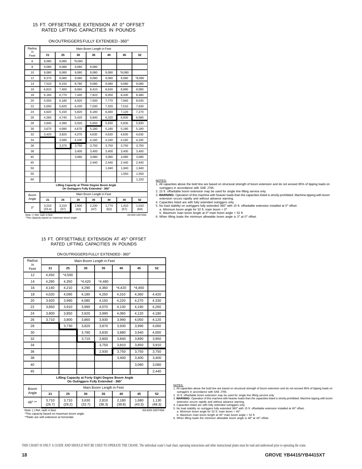#### 15 FT. OFFSETTABLE EXTENSION AT 0° OFFSET RATED LIFTING CAPACITIES IN POUNDS

### ON OUTRIGGERS FULLY EXTENDED - 360°

| Radius     |                 |               |                                                                                    | Main Boom Length in Feet |               |               |               |
|------------|-----------------|---------------|------------------------------------------------------------------------------------|--------------------------|---------------|---------------|---------------|
| in<br>Feet | 21              | 25            | 30                                                                                 | 35                       | 40            | 45            | 52            |
| 6          | 9,080           | 9,080         | *9,080                                                                             |                          |               |               |               |
| 8          | 9,080           | 9,080         | 9,080                                                                              | 9,080                    |               |               |               |
| 10         | 9,080           | 9,080         | 9,080                                                                              | 9,080                    | 9,080         | *9,080        |               |
| 12         | 8,370           | 9,080         | 9,080                                                                              | 9,080                    | 9,080         | 9,080         | *9,080        |
| 14         | 7,510           | 8,150         | 8,780                                                                              | 9,080                    | 9,080         | 9,080         | 9,080         |
| 16         | 6,810           | 7,400         | 8,060                                                                              | 8,410                    | 8,630         | 8,980         | 9,080         |
| 18         | 6,160           | 6,770         | 7,440                                                                              | 7,810                    | 8,050         | 8,430         | 8,480         |
| 20         | 5,550           | 6,180         | 6.920                                                                              | 7,500                    | 7.770         | 7,940         | 8,030         |
| 22         | 5,050           | 5,620         | 6,430                                                                              | 7,030                    | 7,320         | 7,510         | 7,630         |
| 24         | 4,620           | 5,150         | 5,820                                                                              | 6,180                    | 6,460         | 7,120         | 7,270         |
| 26         | 4,260           | 4.740         | 5,420                                                                              | 5,840                    | 6,320         | 6,600         | 6,580         |
| 28         | 3,940           | 4,390         | 5,020                                                                              | 5,650                    | 5,830         | 5,830         | 5,830         |
| 30         | 3,670           | 4,090         | 4,670                                                                              | 5,180                    | 5,180         | 5,180         | 5,180         |
| 32         | 3,420           | 3,820         | 4,370                                                                              | 4,630                    | 4,630         | 4,630         | 4,630         |
| 34         |                 | 3,580         | 4,100                                                                              | 4,160                    | 4,160         | 4,160         | 4,160         |
| 36         |                 | 3,370         | 3,750                                                                              | 3,750                    | 3,750         | 3,750         | 3,750         |
| 38         |                 |               | 3,400                                                                              | 3.400                    | 3,400         | 3,400         | 3,400         |
| 40         |                 |               | 3,080                                                                              | 3.080                    | 3.080         | 3.080         | 3.080         |
| 45         |                 |               |                                                                                    | 2,440                    | 2,440         | 2,440         | 2,440         |
| 50         |                 |               |                                                                                    |                          | 1,940         | 1,940         | 1,940         |
| 55         |                 |               |                                                                                    |                          |               | 1,550         | 1,550         |
| 60         |                 |               |                                                                                    |                          |               |               | 1,220         |
|            |                 |               | Lifting Capacity at Three Degree Boom Angle<br>On Outriggers Fully Extended - 360° |                          |               |               |               |
| Boom       |                 |               |                                                                                    | Main Boom Length in Feet |               |               |               |
| Angle      | 21              | 25            | 30                                                                                 | 35                       | 40            | 45            | 52            |
| $3^\circ$  | 3,210<br>(33.4) | 3,210<br>(37) | 2,800<br>(42)                                                                      | 2,230<br>(47)            | 1,770<br>(52) | 1,410<br>(57) | 1,010<br>(64) |

A6-829-100748A

NOTES: 1. All capacities above the bold line are based on structural strength of boom extension and do not exceed 85% of tipping loads on outriggers in accordance with SAE J765.

2. 15 ft. offsettable boom extension may be used for single line lifting service only.<br>
3. WARNING: Operation of this machine with heavier loads than the capacities listed is strictly prohibited. Machine tipping with boom

This capacity based on maximum boom angle.

Note: ( ) Ref. radii in feet.

|                              |                 |                          |                 | ON OUTRIGGERS FULLY EXTENDED - 360°                                                      |                 |                 |                 |  |  |
|------------------------------|-----------------|--------------------------|-----------------|------------------------------------------------------------------------------------------|-----------------|-----------------|-----------------|--|--|
| Radius<br>in                 |                 | Main Boom Length in Feet |                 |                                                                                          |                 |                 |                 |  |  |
| Feet                         | 21              | 25                       | 30              | 35                                                                                       | 40              | 45              | 52              |  |  |
| 12                           | 4.450           | $*4,500$                 |                 |                                                                                          |                 |                 |                 |  |  |
| 14                           | 4,280           | 4,350                    | $*4.420$        | $*4.480$                                                                                 |                 |                 |                 |  |  |
| 16                           | 4,140           | 4,210                    | 4.290           | 4,360                                                                                    | $*4.420$        | $*4.460$        |                 |  |  |
| 18                           | 4,020           | 4.090                    | 4,180           | 4,250                                                                                    | 4,310           | 4,360           | 4.420           |  |  |
| 20                           | 3.920           | 3.990                    | 4.080           | 4.150                                                                                    | 4.220           | 4.270           | 4.330           |  |  |
| 22                           | 3.850           | 3.910                    | 3.990           | 4.070                                                                                    | 4.130           | 4.190           | 4.260           |  |  |
| 24                           | 3,800           | 3,850                    | 3,920           | 3,990                                                                                    | 4,060           | 4,120           | 4,180           |  |  |
| 26                           | 3,710           | 3,800                    | 3.860           | 3.930                                                                                    | 3.990           | 4.050           | 4.120           |  |  |
| 28                           |                 | 3,730                    | 3,820           | 3,870                                                                                    | 3,930           | 3,990           | 4,060           |  |  |
| 30                           |                 |                          | 3,780           | 3,830                                                                                    | 3,880           | 3,940           | 4,000           |  |  |
| 32                           |                 |                          | 3,710           | 3,800                                                                                    | 3,840           | 3,890           | 3,950           |  |  |
| 34                           |                 |                          |                 | 3,750                                                                                    | 3,810           | 3,850           | 3,910           |  |  |
| 36                           |                 |                          |                 | 2,930                                                                                    | 3.750           | 3.750           | 3.750           |  |  |
| 38                           |                 |                          |                 |                                                                                          | 3,400           | 3,400           | 3,400           |  |  |
| 40                           |                 |                          |                 |                                                                                          |                 | 3.080           | 3.080           |  |  |
| 45                           |                 |                          |                 |                                                                                          |                 |                 | 2,440           |  |  |
|                              |                 |                          |                 | Lifting Capacity at Forty Eight Degree Boom Angle<br>On Outriggers Fully Extended - 360° |                 |                 |                 |  |  |
| Boom                         |                 |                          |                 | Main Boom Length in Feet                                                                 |                 |                 |                 |  |  |
| Angle                        | 21              | 25                       | 30              | 35                                                                                       | 40              | 45              | 52              |  |  |
| 48° **                       | 3.710<br>(26.7) | 3,710<br>(29.2)          | 3,630<br>(32.7) | 2.810<br>(36.3)                                                                          | 2,180<br>(39.8) | 1.680<br>(43.3) | 1.130<br>(48.3) |  |  |
| Note: () Ref. radii in feet. |                 |                          |                 |                                                                                          |                 |                 | A6-829-100749A  |  |  |

#### 15 FT. OFFSETTABLE EXTENSION AT 45° OFFSET RATED LIFTING CAPACITIES IN POUNDS

NOTES:<br>1. All capacities above the bold line are based on structural strength of boom extension and do not exceed 85% of tipping loads on 1. All capacities above the bold line are based on structural strength of boom extension and do not exceed 85% of tipping loads on<br>2. 15 ft. offsettable boom extension may be used for single line lifting service only.<br>2.

Note: ( ) Ref. radii in feet. \*This capacity based on maximum boom angle. \*\*Radii are with extension at horizontal.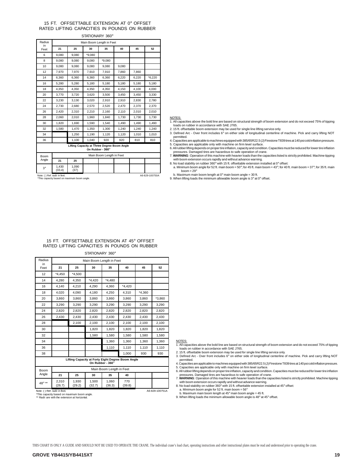#### 15 FT. OFFSETTABLE EXTENSION AT 0° OFFSET RATED LIFTING CAPACITIES IN POUNDS ON RUBBER STATIONARY 360°

| Radius                       | Main Boom Length in Feet                    |               |        |                                                                 |       |       |                |  |
|------------------------------|---------------------------------------------|---------------|--------|-----------------------------------------------------------------|-------|-------|----------------|--|
| in<br>Feet                   | 21                                          | 25            | 30     | 35                                                              | 40    | 45    | 52             |  |
| 6                            | 9,080                                       | 9,080         | *9.080 |                                                                 |       |       |                |  |
| 8                            | 9.080                                       | 9,080         | 9.080  | *9.080                                                          |       |       |                |  |
| 10                           | 9.080                                       | 9.080         | 9.080  | 9.080                                                           | 9.080 |       |                |  |
| 12                           | 7.970                                       | 7,970         | 7,910  | 7,910                                                           | 7,860 | 7,860 |                |  |
| 14                           | 6.360                                       | 6.360         | 6,360  | 6.360                                                           | 6,220 | 6,220 | *6,220         |  |
| 16                           | 5.280                                       | 5.280         | 5.180  | 5.180                                                           | 5.180 | 5.180 | 5.180          |  |
| 18                           | 4,350                                       | 4,350         | 4,350  | 4,350                                                           | 4,150 | 4,100 | 4.000          |  |
| 20                           | 3.770                                       | 3,720         | 3,620  | 3,500                                                           | 3.450 | 3.450 | 3,330          |  |
| 22                           | 3.230                                       | 3.130         | 3.020  | 2.910                                                           | 2.910 | 2.830 | 2.780          |  |
| 24                           | 2,730                                       | 2,680         | 2,570  | 2,520                                                           | 2,470 | 2,370 | 2,370          |  |
| 26                           | 2.420                                       | 2,310         | 2,210  | 2.160                                                           | 2,110 | 2.010 | 2,010          |  |
| 28                           | 2,060                                       | 2,010         | 1,960  | 1.840                                                           | 1,730 | 1.730 | 1,730          |  |
| 30                           | 1,820                                       | 1,690         | 1,590  | 1,540                                                           | 1,490 | 1,490 | 1,490          |  |
| 32                           | 1,580                                       | 1.470         | 1.350  | 1.300                                                           | 1.240 | 1.240 | 1,240          |  |
| 34                           |                                             | 1,250         | 1,190  | 1,120                                                           | 1,120 | 1,010 | 1,010          |  |
| 36                           |                                             | 1,100         | 1,040  | 920                                                             | 920   | 810   | 810            |  |
|                              |                                             |               |        | Lifting Capacity at Three Degree Boom Angle<br>On Rubber - 360° |       |       |                |  |
| <b>Boom</b>                  |                                             |               |        | Main Boom Length in Feet                                        |       |       |                |  |
| Angle                        | 21                                          | 25            |        |                                                                 |       |       |                |  |
| $3^\circ$                    | 1.430<br>(33.4)                             | 1.090<br>(37) |        |                                                                 |       |       |                |  |
| Note: () Ref. radii in feet. | *This capacity based on maximum boom angle. |               |        |                                                                 |       |       | A6-829-100750A |  |

#### NOTES:

1. All capacities above the bold line are based on structural strength of boom extension and do not exceed 75% of tipping loads on rubber in accordance with SAE J765.

2. 15 ft. offsettable boom extension may be used for single line lifting service only. 3. Defined Arc - Over front includes 6° on either side of longitudinal centerline of machine. Pick and carry lifting NOT

permitted. 4. Capacities are applicable to machines equipped with 385/65R22.5 (J) Firestone T839 tires at 140 psi cold inflation pressure.

5. Capacities are applicable only with machine on firm level surface.<br>Dresures Departion of the propertive inflation, capacity and condition. Capacities must be reduced for lower tire inflation (5.<br>Pressures. Damaged tires

with boom extension occurs rapidly and without advance warning. 8. No load stability on rubber 360° with 15 ft. offsettable extension installed at 0° offset:

a. Minimum boom angle for 52 ft. main boom =  $50^\circ$ ; for 45 ft. main boom =  $43^\circ$ ; for 40 ft. main boom =  $37^\circ$ ; for 35 ft. main boom =  $10^\circ$ boom =  $29^\circ$ 

b. Maximum main boom length at  $0^\circ$  main boom angle = 30 ft.

9. When lifting loads the minimum allowable boom angle is  $3^\circ$  at  $0^\circ$  offset.

| This capacity based on maximum boom andle. |  |  |  |
|--------------------------------------------|--|--|--|
|                                            |  |  |  |

#### 15 FT. OFFSETTABLE EXTENSION AT 45° OFFSET RATED LIFTING CAPACITIES IN POUNDS ON RUBBER

STATIONARY 360°

| Radius     |          |          | Main Boom Length in Feet |                          |                                                   |          |          |
|------------|----------|----------|--------------------------|--------------------------|---------------------------------------------------|----------|----------|
| in<br>Feet | 21       | 25       | 30                       | 35                       | 40                                                | 45       | 52       |
| 12         | $*4.450$ | $*4.500$ |                          |                          |                                                   |          |          |
| 14         | 4,280    | 4,350    | $*4.420$                 | $*4,480$                 |                                                   |          |          |
| 16         | 4,140    | 4,210    | 4.290                    | 4,360                    | $*4.420$                                          |          |          |
| 18         | 4,020    | 4,090    | 4,180                    | 4,250                    | 4,310                                             | $*4,360$ |          |
| 20         | 3,860    | 3,860    | 3,860                    | 3,860                    | 3,860                                             | 3,860    | $*3,860$ |
| 22         | 3,290    | 3,290    | 3,290                    | 3,290                    | 3,290                                             | 3,290    | 3,290    |
| 24         | 2,820    | 2,820    | 2,820                    | 2,820                    | 2,820                                             | 2,820    | 2,820    |
| 26         | 2,430    | 2,430    | 2,430                    | 2,430                    | 2.430                                             | 2.430    | 2,430    |
| 28         |          | 2,100    | 2,100                    | 2,100                    | 2.100                                             | 2,100    | 2,100    |
| 30         |          |          | 1,820                    | 1,820                    | 1,820                                             | 1,820    | 1,820    |
| 32         |          |          | 1,580                    | 1,580                    | 1,580                                             | 1,580    | 1,580    |
| 34         |          |          |                          | 1,360                    | 1,360                                             | 1.360    | 1,360    |
| 36         |          |          |                          | 1,110                    | 1,110                                             | 1,110    | 1,110    |
| 38         |          |          |                          |                          | 1,000                                             | 930      | 930      |
|            |          |          |                          | On Rubber - 360°         | Lifting Capacity at Forty Eight Degree Boom Angle |          |          |
| Boom       |          |          |                          | Main Boom Length in Feet |                                                   |          |          |
| Angle      | 21       | 25       | 30                       | 35                       | 40                                                |          |          |

|                      | On Rubber - 360°         |                 |                 |                 |               |  |  |  |
|----------------------|--------------------------|-----------------|-----------------|-----------------|---------------|--|--|--|
| <b>Boom</b><br>Angle | Main Boom Length in Feet |                 |                 |                 |               |  |  |  |
|                      | 21                       | 25              | 30              | 35              | 40            |  |  |  |
| $48^\circ$ **        | 2.310<br>(26.7)          | 1.930<br>(29.2) | 1.500<br>(32.7) | 1.060<br>(36.3) | 770<br>(39.8) |  |  |  |

Note: ( ) Ref. radii in feet. \*This capacity based on maximum boom angle. \*\* Radii are with the extension at horizontal.

#### NOTES:

1. All capacities above the bold line are based on structural strength of boom extension and do not exceed 75% of tipping

loads on rubber in accordance with SAE J765.<br>2. 15 ft. offsettable boom extension may be used for single line lifting service only.<br>3. Defined Arc - Over front includes 6° on either side of longitudinal centerline of mac

permitted.<br>4. Capacities are applicable to machines equipped with 385/65R22.5 (J) Firestone T839 tires at 140 psi cold inflation pressure.<br>5. Capacities are applicable only with machine on firm level surface.<br>6. All rubber

7. **WARNING**: Operation of this machine with heavier loads than the capacities listed is strictly prohibited. Machine tipping

with boom extension occurs rapidly and without advance warning.<br>8. No load stability on rubber 360° with 15 ft. offsettable extension installed at 45° offset:<br>a. Minimum boom angle for 52 ft. main boom = 56°

b. Maximum main boom length at 45° main boom angle = 45 ft. 9. When lifting loads the minimum allowable boom angle is 48° at 45° offset.

THIS CHART IS ONLY A GUIDE AND SHOULD NOT BE USED TO OPERATE THE CRANE. The individual crane's load chart, operating instructions and other instructional plates must be read and understood prior to operating the crane.

A6-829-100751A

#### **GROVE YB4415/YB4415XT 19**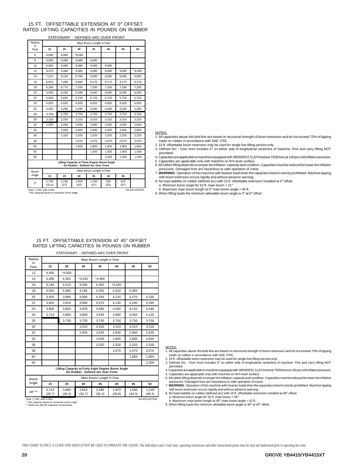#### 15 FT. OFFSETTABLE EXTENSION AT 0° OFFSET RATED LIFTING CAPACITIES IN POUNDS ON RUBBER

|                                                                                   |                                                                                                |               | STATIONARY - DEFINED ARC OVER FRONT |                          |             |             |          |
|-----------------------------------------------------------------------------------|------------------------------------------------------------------------------------------------|---------------|-------------------------------------|--------------------------|-------------|-------------|----------|
| Radius                                                                            | Main Boom Length in Feet                                                                       |               |                                     |                          |             |             |          |
| in.<br>Feet                                                                       | 21                                                                                             | 25            | 30                                  | 35                       | 40          | 45          | 52       |
| 6                                                                                 | 9,080                                                                                          | 9,080         | $*9.080$                            |                          |             |             |          |
| 8                                                                                 | 9,080                                                                                          | 9,080         | 9.080                               | 9.080                    |             |             |          |
| 10                                                                                | 9,080                                                                                          | 9,080         | 9,080                               | 9,080                    | 9,080       |             |          |
| 12                                                                                | 8,370                                                                                          | 9,080         | 9,080                               | 9,080                    | 9,080       | 9,080       | $*9,080$ |
| 14                                                                                | 7,510                                                                                          | 8,150         | 8,780                               | 9,080                    | 9,080       | 9,080       | 9,080    |
| 16                                                                                | 6,810                                                                                          | 7,400         | 8,060                               | 8,170                    | 8,170       | 8,170       | 8,170    |
| 18                                                                                | 6,160                                                                                          | 6,770         | 7,330                               | 7,330                    | 7,330       | 7,330       | 7,330    |
| 20                                                                                | 5.550                                                                                          | 6.180         | 6.590                               | 6.590                    | 6.590       | 6.590       | 6.590    |
| 22                                                                                | 5,050                                                                                          | 5,620         | 5,720                               | 5,720                    | 5,720       | 5,720       | 5,720    |
| 24                                                                                | 4,620                                                                                          | 4.920         | 4,920                               | 4.920                    | 4.920       | 4,920       | 4,920    |
| 26                                                                                | 4,260                                                                                          | 4,280         | 4,280                               | 4,280                    | 4,280       | 4,280       | 4,280    |
| 28                                                                                | 3,750                                                                                          | 3,750         | 3.750                               | 3.750                    | 3.750       | 3.750       | 3,750    |
| 30                                                                                | 3,310                                                                                          | 3.310         | 3.310                               | 3.310                    | 3,310       | 3,310       | 3,310    |
| 32                                                                                | 2.930                                                                                          | 2.930         | 2.930                               | 2.930                    | 2.930       | 2.930       | 2.930    |
| 34                                                                                |                                                                                                | 2,600         | 2,600                               | 2,600                    | 2,600       | 2,600       | 2,600    |
| 36                                                                                |                                                                                                | 2,320         | 2,320                               | 2,320                    | 2,320       | 2,320       | 2,320    |
| 38                                                                                |                                                                                                |               | 2,070                               | 2,070                    | 2,070       | 2,070       | 2,070    |
| 40                                                                                |                                                                                                |               | 1,850                               | 1.850                    | 1.850       | 1,850       | 1,850    |
| 45                                                                                |                                                                                                |               |                                     | 1.400                    | 1.400       | 1.400       | 1.400    |
| 50                                                                                |                                                                                                |               |                                     |                          | 1.040       | 1,040       | 1.040    |
| Lifting Capacity at Three Degree Boom Angle<br>On Rubber - Defined Arc Over Front |                                                                                                |               |                                     |                          |             |             |          |
| Boom                                                                              |                                                                                                |               |                                     | Main Boom Length in Feet |             |             |          |
| Angle                                                                             | 21                                                                                             | 25            | 30                                  | 35                       | 40          | 45          |          |
| $3^\circ$                                                                         | 2,700<br>(33.4)                                                                                | 2,190<br>(37) | 1,650<br>(42)                       | 1,240<br>(47)            | 920<br>(52) | 620<br>(57) |          |
|                                                                                   | Note: ( ) Ref. radii in feet.<br>A6-829-100752A<br>*This capacity based on maximum boom angle. |               |                                     |                          |             |             |          |

#### NOTES:

1. All capacities above the bold line are based on structural strength of boom extension and do not exceed 75% of tipping loads on rubber in accordance with SAE J765.

2. 15 ft. offsettable boom extension may be used for single line lifting service only. 3. Defined Arc - Over front includes 6° on either side of longitudinal centerline of machine. Pick and carry lifting NOT permitted.

4. Capacities are applicable to machines equipped with 385/65R22.5 (J) Firestone T839 tires at 140 psi cold inflation pressure. 5. Capacities are applicable only with machine on firm level surface.

6. All rubber lifting depends on proper tire inflation, capacity and condition. Capacities must be reduced for lower tire inflation pressures. Damaged tires are hazardous to safe operation of crane.

7. **WARNING**: Operation of this machine with heavier loads than the capacities listed is strictly prohibited. Machine tipping

with boom extension occurs rapidly and without advance warning. 8. No load stability on rubber (defined arc) with 15 ft. offsettable extension installed at 0° offset:

a. Minimum boom angle for 52 ft. main boom = 21° b. Maximum main boom length at 0° main boom angle = 45 ft.

9. When lifting loads the minimum allowable boom angle is 3° at 0° offset.

#### 15 FT. OFFSETTABLE EXTENSION AT 45° OFFSET RATED LIFTING CAPACITIES IN POUNDS ON RUBBER

STATIONARY - DEFINED ARC OVER FRONT

| Radius<br>in. | Main Boom Length in Feet                                                                |                 |                 |                          |                 |                 |                 |  |  |
|---------------|-----------------------------------------------------------------------------------------|-----------------|-----------------|--------------------------|-----------------|-----------------|-----------------|--|--|
| Feet          | 21                                                                                      | 25              | 30              | 35                       | 40              | 45              | 52              |  |  |
| 12            | 4,450                                                                                   | $*4,500$        |                 |                          |                 |                 |                 |  |  |
| 14            | 4,280                                                                                   | 4,350           | $*4,420$        | $*4,480$                 |                 |                 |                 |  |  |
| 16            | 4,140                                                                                   | 4,210           | 4,290           | 4,360                    | $*4.420$        |                 |                 |  |  |
| 18            | 4,020                                                                                   | 4,090           | 4,180           | 4,250                    | 4,310           | 4,360           |                 |  |  |
| 20            | 3,920                                                                                   | 3,990           | 4,080           | 4,150                    | 4,220           | 4,270           | 4,330           |  |  |
| 22            | 3,850                                                                                   | 3,910           | 3,990           | 4,070                    | 4,130           | 4,190           | 4,260           |  |  |
| 24            | 3,800                                                                                   | 3,850           | 3,920           | 3,990                    | 4,060           | 4,120           | 4,180           |  |  |
| 26            | 3,710                                                                                   | 3,800           | 3,860           | 3,930                    | 3,990           | 4,050           | 4,120           |  |  |
| 28            |                                                                                         | 3,730           | 3,750           | 3,750                    | 3,750           | 3,750           | 3,750           |  |  |
| 30            |                                                                                         |                 | 3,310           | 3,310                    | 3,310           | 3,310           | 3,310           |  |  |
| 32            |                                                                                         |                 | 2,930           | 2,930                    | 2,930           | 2,930           | 2,930           |  |  |
| 34            |                                                                                         |                 |                 | 2,600                    | 2,600           | 2,600           | 2,600           |  |  |
| 36            |                                                                                         |                 |                 | 2,320                    | 2,320           | 2,320           | 2,320           |  |  |
| 38            |                                                                                         |                 |                 |                          | 2,070           | 2,070           | 2,070           |  |  |
| 40            |                                                                                         |                 |                 |                          |                 | 1,850           | 1,850           |  |  |
| 45            |                                                                                         |                 |                 |                          |                 |                 | 1.400           |  |  |
|               | Lifting Capacity at Forty Eight Degree Boom Angle<br>On Rubber - Defined Arc Over Front |                 |                 |                          |                 |                 |                 |  |  |
| Boom          |                                                                                         |                 |                 | Main Boom Length in Feet |                 |                 |                 |  |  |
| Angle         | 21                                                                                      | 25              | 30              | 35                       | 40              | 45              | 52              |  |  |
| 48° **        | 3,710<br>(26.7)                                                                         | 3,480<br>(29.2) | 2,810<br>(32.7) | 2,280<br>(36.3)          | 1,870<br>(39.8) | 1,540<br>(43.3) | 1,130<br>(48.3) |  |  |

#### NOTES:

1. All capacities above the bold line are based on structural strength of boom extension and do not exceed 75% of tipping loads on rubber in accordance with SAE J765.

2. 15 ft. offsettable boom extension may be used for single line lifting service only. 3. Defined Arc - Over front includes 6° on either side of longitudinal centerline of machine. Pick and carry lifting NOT permitted. 4. Capacities are applicable to machines equipped with 385/65R22.5 (J) Firestone T839 tires at 140 psi cold inflation pressure. 5. Capacities are applicable only with machine on firm level surface.

6. All rubber lifting depends on proper tire inflation, capacity and condition. Capacities must be reduced for lower tire inflation<br>pressures. Damaged tires are hazardous to safe operation of crane.

7. **WARNING**: Operation of this machine with heavier loads than the capacities listed is strictly prohibited. Machine tipping with boom extension occurs rapidly and without advance warning.

8. No load stability on rubber (defined arc) with 15 ft. offsettable extension installed at 45° offset:

a. Minimum boom angle for 52 ft. main boom = 45°

b. Maximum main boom length at 45° main boom angle = 52 ft.

9. When lifting loads the minimum allowable boom angle is 48° at 45° offset.

Note: ( ) Ref. radii in feet. \* This capacity based on maximum boom angle. \*\* Radii are with the extension at horizontal.

THIS CHART IS ONLY A GUIDE AND SHOULD NOT BE USED TO OPERATE THE CRANE. The individual crane's load chart, operating instructions and other instructional plates must be read and understood prior to operating the crane.

A6-829-100753A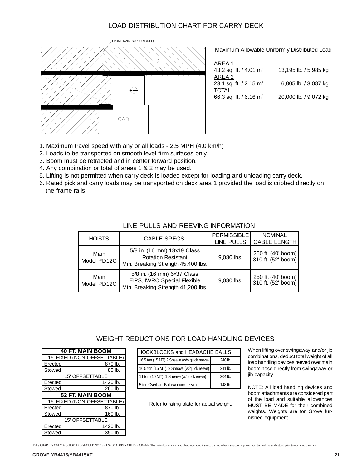### LOAD DISTRIBUTION CHART FOR CARRY DECK



Maximum Allowable Uniformly Distributed Load

| AREA 1                             |                       |
|------------------------------------|-----------------------|
| 43.2 sq. ft. / 4.01 m <sup>2</sup> | 13,195 lb. / 5,985 kg |
| AREA 2                             |                       |
| 23.1 sq. ft. / 2.15 m <sup>2</sup> | 6,805 lb. / 3,087 kg  |
| <b>TOTAL</b>                       |                       |
| 66.3 sq. ft. / 6.16 m <sup>2</sup> | 20,000 lb. / 9,072 kg |
|                                    |                       |

- 1. Maximum travel speed with any or all loads 2.5 MPH (4.0 km/h)
- 2. Loads to be transported on smooth level firm surfaces only.
- 3. Boom must be retracted and in center forward position.
- 4. Any combination or total of areas 1 & 2 may be used.
- 5. Lifting is not permitted when carry deck is loaded except for loading and unloading carry deck.
- 6. Rated pick and carry loads may be transported on deck area 1 provided the load is cribbed directly on the frame rails.

| <b>HOISTS</b>       | CABLE SPECS.                                                                                    | <b>PERMISSIBLE</b><br><b>LINE PULLS</b> | <b>NOMINAL</b><br><b>CABLE LENGTH</b>    |
|---------------------|-------------------------------------------------------------------------------------------------|-----------------------------------------|------------------------------------------|
| Main<br>Model PD12C | 5/8 in. (16 mm) 18x19 Class<br><b>Rotation Resistant</b><br>Min. Breaking Strength 45,400 lbs.  | 9,080 lbs.                              | 250 ft. (40' boom)<br>310 ft. (52' boom) |
| Main<br>Model PD12C | 5/8 in. (16 mm) 6x37 Class<br>EIPS, IWRC Special Flexible<br>Min. Breaking Strength 41,200 lbs. | 9,080 lbs.                              | 250 ft. (40' boom)<br>310 ft. (52' boom) |

### LINE PULLS AND REEVING INFORMATION

### WEIGHT REDUCTIONS FOR LOAD HANDLING DEVICES

|                         | <b>40 FT. MAIN BOOM</b>     |  |  |  |
|-------------------------|-----------------------------|--|--|--|
|                         | 15' FIXED (NON-OFFSETTABLE) |  |  |  |
| Erected                 | 870 lb.                     |  |  |  |
| Stowed                  | 85 lb.                      |  |  |  |
|                         | <b>15' OFFSETTABLE</b>      |  |  |  |
| Erected                 | 1420 lb.                    |  |  |  |
| Stowed                  | 260 lb.                     |  |  |  |
| <b>52 FT. MAIN BOOM</b> |                             |  |  |  |
|                         | 15' FIXED (NON-OFFSETTABLE) |  |  |  |
| Erected                 | 870 lb.                     |  |  |  |
| Stowed                  | 160 lb.                     |  |  |  |
| <b>15' OFFSETTABLE</b>  |                             |  |  |  |
| Erected                 | 1420 lb.                    |  |  |  |
| Stowed                  | 350 lb.                     |  |  |  |

| HOOKBLOCKS and HEADACHE BALLS:              |           |  |  |  |
|---------------------------------------------|-----------|--|--|--|
| 16.5 ton (15 MT) 2 Sheave (w/o quick reeve) | 240 lb.   |  |  |  |
| 16.5 ton (15 MT), 2 Sheave (w/quick reeve)  | 241 lb.   |  |  |  |
| 11 ton (10 MT), 1 Sheave (w/quick reeve)    | $204$ lb. |  |  |  |
| 5 ton Overhaul Ball (w/ quick reeve)        | 148 lb.   |  |  |  |

+Refer to rating plate for actual weight.

When lifting over swingaway and/or jib combinations, deduct total weight of all load handling devices reeved over main boom nose directly from swingaway or jib capacity.

NOTE: All load handling devices and boom attachments are considered part of the load and suitable allowances MUST BE MADE for their combined weights. Weights are for Grove furnished equipment.